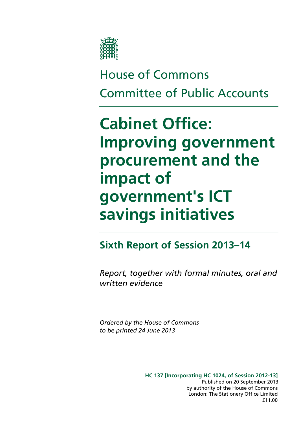

# House of Commons Committee of Public Accounts

# **Cabinet Office: Improving government procurement and the impact of government's ICT savings initiatives**

### **Sixth Report of Session 2013–14**

*Report, together with formal minutes, oral and written evidence* 

*Ordered by the House of Commons to be printed 24 June 2013* 

> **HC 137 [Incorporating HC 1024, of Session 2012-13]**  London: The Stationery Office Limited by authority of the House of Commons £11.00 Published on 20 September 2013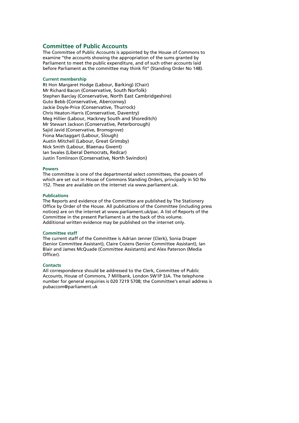### **Committee of Public Accounts**

The Committee of Public Accounts is appointed by the House of Commons to examine ''the accounts showing the appropriation of the sums granted by Parliament to meet the public expenditure, and of such other accounts laid before Parliament as the committee may think fit" (Standing Order No 148).

#### **Current membership**

Rt Hon Margaret Hodge (Labour, Barking) (Chair) Mr Richard Bacon (Conservative, South Norfolk) Stephen Barclay (Conservative, North East Cambridgeshire) Guto Bebb (Conservative, Aberconwy) Jackie Doyle-Price (Conservative, Thurrock) Chris Heaton-Harris (Conservative, Daventry) Meg Hillier (Labour, Hackney South and Shoreditch) Mr Stewart Jackson (Conservative, Peterborough) Sajid Javid (Conservative, Bromsgrove) Fiona Mactaggart (Labour, Slough) Austin Mitchell (Labour, Great Grimsby) Nick Smith (Labour, Blaenau Gwent) Ian Swales (Liberal Democrats, Redcar) Justin Tomlinson (Conservative, North Swindon)

#### **Powers**

The committee is one of the departmental select committees, the powers of which are set out in House of Commons Standing Orders, principally in SO No 152. These are available on the internet via www.parliament.uk.

#### **Publications**

The Reports and evidence of the Committee are published by The Stationery Office by Order of the House. All publications of the Committee (including press notices) are on the internet at www.parliament.uk/pac. A list of Reports of the Committee in the present Parliament is at the back of this volume. Additional written evidence may be published on the internet only.

#### **Committee staff**

The current staff of the Committee is Adrian Jenner (Clerk), Sonia Draper (Senior Committee Assistant), Claire Cozens (Senior Committee Assistant), Ian Blair and James McQuade (Committee Assistants) and Alex Paterson (Media Officer).

#### **Contacts**

All correspondence should be addressed to the Clerk, Committee of Public Accounts, House of Commons, 7 Millbank, London SW1P 3JA. The telephone number for general enquiries is 020 7219 5708; the Committee's email address is pubaccom@parliament.uk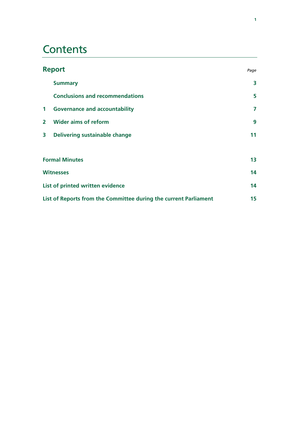# **Contents**

| <b>Report</b>                                                    |                                        | Page |
|------------------------------------------------------------------|----------------------------------------|------|
|                                                                  | <b>Summary</b>                         | 3    |
|                                                                  | <b>Conclusions and recommendations</b> | 5    |
| $\mathbf{1}$                                                     | <b>Governance and accountability</b>   | 7    |
| $\mathbf{2}$                                                     | <b>Wider aims of reform</b>            | 9    |
| $\overline{\mathbf{3}}$                                          | <b>Delivering sustainable change</b>   | 11   |
|                                                                  |                                        |      |
| <b>Formal Minutes</b>                                            |                                        | 13   |
| <b>Witnesses</b>                                                 |                                        | 14   |
| List of printed written evidence                                 |                                        | 14   |
| List of Reports from the Committee during the current Parliament |                                        | 15   |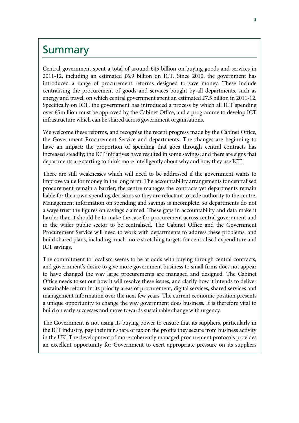### **Summary**

Central government spent a total of around £45 billion on buying goods and services in 2011-12, including an estimated £6.9 billion on ICT. Since 2010, the government has introduced a range of procurement reforms designed to save money. These include centralising the procurement of goods and services bought by all departments, such as energy and travel, on which central government spent an estimated £7.5 billion in 2011-12. Specifically on ICT, the government has introduced a process by which all ICT spending over £5million must be approved by the Cabinet Office, and a programme to develop ICT infrastructure which can be shared across government organisations.

We welcome these reforms, and recognise the recent progress made by the Cabinet Office, the Government Procurement Service and departments. The changes are beginning to have an impact: the proportion of spending that goes through central contracts has increased steadily; the ICT initiatives have resulted in some savings; and there are signs that departments are starting to think more intelligently about why and how they use ICT.

There are still weaknesses which will need to be addressed if the government wants to improve value for money in the long term. The accountability arrangements for centralised procurement remain a barrier; the centre manages the contracts yet departments remain liable for their own spending decisions so they are reluctant to cede authority to the centre. Management information on spending and savings is incomplete, so departments do not always trust the figures on savings claimed. These gaps in accountability and data make it harder than it should be to make the case for procurement across central government and in the wider public sector to be centralised. The Cabinet Office and the Government Procurement Service will need to work with departments to address these problems, and build shared plans, including much more stretching targets for centralised expenditure and ICT savings.

The commitment to localism seems to be at odds with buying through central contracts, and government's desire to give more government business to small firms does not appear to have changed the way large procurements are managed and designed. The Cabinet Office needs to set out how it will resolve these issues, and clarify how it intends to deliver sustainable reform in its priority areas of procurement, digital services, shared services and management information over the next few years. The current economic position presents a unique opportunity to change the way government does business. It is therefore vital to build on early successes and move towards sustainable change with urgency.

The Government is not using its buying power to ensure that its suppliers, particularly in the ICT industry, pay their fair share of tax on the profits they secure from business activity in the UK. The development of more coherently managed procurement protocols provides an excellent opportunity for Government to exert appropriate pressure on its suppliers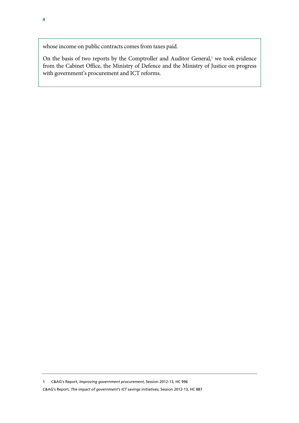whose income on public contracts comes from taxes paid.

On the basis of two reports by the Comptroller and Auditor General,<sup>1</sup> we took evidence from the Cabinet Office, the Ministry of Defence and the Ministry of Justice on progress with government's procurement and ICT reforms.

1 C&AG's Report, *Improving government procurement*, Session 2012-13, HC 996

C&AG's Report, *The impact of government's ICT savings initiatives*, Session 2012-13, HC 887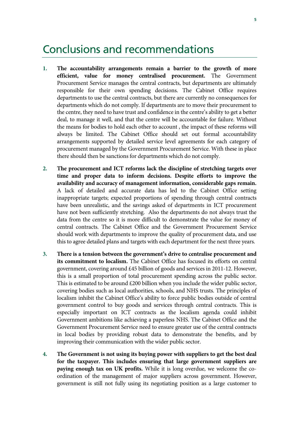### Conclusions and recommendations

- **1. The accountability arrangements remain a barrier to the growth of more efficient, value for money centralised procurement.** The Government Procurement Service manages the central contracts, but departments are ultimately responsible for their own spending decisions. The Cabinet Office requires departments to use the central contracts, but there are currently no consequences for departments which do not comply. If departments are to move their procurement to the centre, they need to have trust and confidence in the centre's ability to get a better deal, to manage it well, and that the centre will be accountable for failure. Without the means for bodies to hold each other to account , the impact of these reforms will always be limited. The Cabinet Office should set out formal accountability arrangements supported by detailed service level agreements for each category of procurement managed by the Government Procurement Service. With these in place there should then be sanctions for departments which do not comply.
- **2. The procurement and ICT reforms lack the discipline of stretching targets over time and proper data to inform decisions. Despite efforts to improve the availability and accuracy of management information, considerable gaps remain.** A lack of detailed and accurate data has led to the Cabinet Office setting inappropriate targets; expected proportions of spending through central contracts have been unrealistic, and the savings asked of departments in ICT procurement have not been sufficiently stretching. Also the departments do not always trust the data from the centre so it is more difficult to demonstrate the value for money of central contracts. The Cabinet Office and the Government Procurement Service should work with departments to improve the quality of procurement data, and use this to agree detailed plans and targets with each department for the next three years.
- **3. There is a tension between the government's drive to centralise procurement and its commitment to localism.** The Cabinet Office has focused its efforts on central government, covering around £45 billion of goods and services in 2011-12. However, this is a small proportion of total procurement spending across the public sector. This is estimated to be around  $£200$  billion when you include the wider public sector, covering bodies such as local authorities, schools, and NHS trusts. The principles of localism inhibit the Cabinet Office's ability to force public bodies outside of central government control to buy goods and services through central contracts. This is especially important on ICT contracts as the localism agenda could inhibit Government ambitions like achieving a paperless NHS. The Cabinet Office and the Government Procurement Service need to ensure greater use of the central contracts in local bodies by providing robust data to demonstrate the benefits, and by improving their communication with the wider public sector.
- **4. The Government is not using its buying power with suppliers to get the best deal for the taxpayer. This includes ensuring that large government suppliers are paying enough tax on UK profits.** While it is long overdue, we welcome the coordination of the management of major suppliers across government. However, government is still not fully using its negotiating position as a large customer to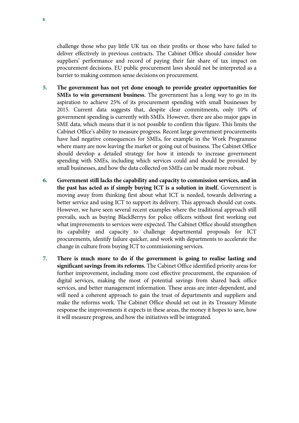challenge those who pay little UK tax on their profits or those who have failed to deliver effectively in previous contracts. The Cabinet Office should consider how suppliers' performance and record of paying their fair share of tax impact on procurement decisions. EU public procurement laws should not be interpreted as a barrier to making common sense decisions on procurement.

- **5. The government has not yet done enough to provide greater opportunities for SMEs to win government business.** The government has a long way to go in its aspiration to achieve 25% of its procurement spending with small businesses by 2015. Current data suggests that, despite clear commitments, only 10% of government spending is currently with SMEs. However, there are also major gaps in SME data, which means that it is not possible to confirm this figure. This limits the Cabinet Office's ability to measure progress. Recent large government procurements have had negative consequences for SMEs, for example in the Work Programme where many are now leaving the market or going out of business. The Cabinet Office should develop a detailed strategy for how it intends to increase government spending with SMEs, including which services could and should be provided by small businesses, and how the data collected on SMEs can be made more robust.
- **6. Government still lacks the capability and capacity to commission services, and in the past has acted as if simply buying ICT is a solution in itself.** Government is moving away from thinking first about what ICT is needed, towards delivering a better service and using ICT to support its delivery. This approach should cut costs. However, we have seen several recent examples where the traditional approach still prevails, such as buying BlackBerrys for police officers without first working out what improvements to services were expected. The Cabinet Office should strengthen its capability and capacity to challenge departmental proposals for ICT procurements, identify failure quicker, and work with departments to accelerate the change in culture from buying ICT to commissioning services.
- **7. There is much more to do if the government is going to realise lasting and significant savings from its reforms.** The Cabinet Office identified priority areas for further improvement, including more cost effective procurement, the expansion of digital services, making the most of potential savings from shared back office services, and better management information. These areas are inter-dependent, and will need a coherent approach to gain the trust of departments and suppliers and make the reforms work. The Cabinet Office should set out in its Treasury Minute response the improvements it expects in these areas, the money it hopes to save, how it will measure progress, and how the initiatives will be integrated.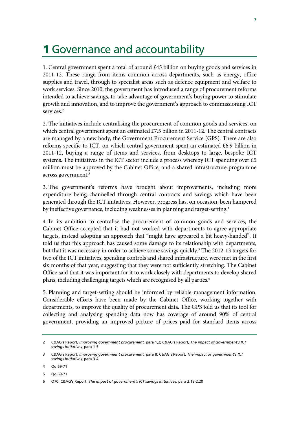## 1 Governance and accountability

1. Central government spent a total of around £45 billion on buying goods and services in 2011-12. These range from items common across departments, such as energy, office supplies and travel, through to specialist areas such as defence equipment and welfare to work services. Since 2010, the government has introduced a range of procurement reforms intended to achieve savings, to take advantage of government's buying power to stimulate growth and innovation, and to improve the government's approach to commissioning ICT services.<sup>2</sup>

2. The initiatives include centralising the procurement of common goods and services, on which central government spent an estimated £7.5 billion in 2011-12. The central contracts are managed by a new body, the Government Procurement Service (GPS). There are also reforms specific to ICT, on which central government spent an estimated  $£6.9$  billion in 2011-12, buying a range of items and services, from desktops to large, bespoke ICT systems. The initiatives in the ICT sector include a process whereby ICT spending over £5 million must be approved by the Cabinet Office, and a shared infrastructure programme across government.<sup>3</sup>

3. The government's reforms have brought about improvements, including more expenditure being channelled through central contracts and savings which have been generated through the ICT initiatives. However, progress has, on occasion, been hampered by ineffective governance, including weaknesses in planning and target-setting.<sup>4</sup>

4. In its ambition to centralise the procurement of common goods and services, the Cabinet Office accepted that it had not worked with departments to agree appropriate targets, instead adopting an approach that "might have appeared a bit heavy-handed". It told us that this approach has caused some damage to its relationship with departments, but that it was necessary in order to achieve some savings quickly.<sup>5</sup> The 2012-13 targets for two of the ICT initiatives, spending controls and shared infrastructure, were met in the first six months of that year, suggesting that they were not sufficiently stretching. The Cabinet Office said that it was important for it to work closely with departments to develop shared plans, including challenging targets which are recognised by all parties.<sup>6</sup>

5. Planning and target-setting should be informed by reliable management information. Considerable efforts have been made by the Cabinet Office, working together with departments, to improve the quality of procurement data. The GPS told us that its tool for collecting and analysing spending data now has coverage of around 90% of central government, providing an improved picture of prices paid for standard items across

5 Qq 69-71

<sup>2</sup> C&AG's Report, *Improving government procurement,* para 1,2; C&AG's Report, *The impact of government's ICT savings initiatives,* para 1-5

<sup>3</sup> C&AG's Report, *Improving government procurement,* para 8; C&AG's Report, *The impact of government's ICT savings initiatives,* para 3-4

<sup>4</sup> Qq 69-71

<sup>6</sup> Q70; C&AG's Report, *The impact of government's ICT savings initiatives,* para 2.18-2.20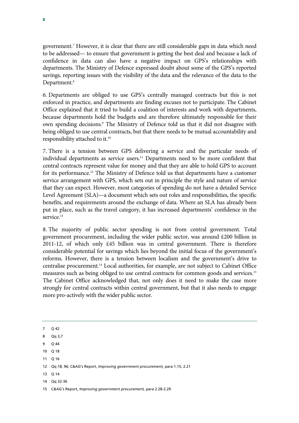government.7 However, it is clear that there are still considerable gaps in data which need to be addressed— to ensure that government is getting the best deal and because a lack of confidence in data can also have a negative impact on GPS's relationships with departments. The Ministry of Defence expressed doubt about some of the GPS's reported savings, reporting issues with the visibility of the data and the relevance of the data to the Department.<sup>8</sup>

6. Departments are obliged to use GPS's centrally managed contracts but this is not enforced in practice, and departments are finding excuses not to participate. The Cabinet Office explained that it tried to build a coalition of interests and work with departments, because departments hold the budgets and are therefore ultimately responsible for their own spending decisions.<sup>9</sup> The Ministry of Defence told us that it did not disagree with being obliged to use central contracts, but that there needs to be mutual accountability and responsibility attached to it.10

7. There is a tension between GPS delivering a service and the particular needs of individual departments as service users.<sup>11</sup> Departments need to be more confident that central contracts represent value for money and that they are able to hold GPS to account for its performance.12 The Ministry of Defence told us that departments have a customer service arrangement with GPS, which sets out in principle the style and nature of service that they can expect. However, most categories of spending do not have a detailed Service Level Agreement (SLA)—a document which sets out roles and responsibilities, the specific benefits, and requirements around the exchange of data. Where an SLA has already been put in place, such as the travel category, it has increased departments' confidence in the service.<sup>13</sup>

8. The majority of public sector spending is not from central government. Total government procurement, including the wider public sector, was around £200 billion in 2011-12, of which only £45 billion was in central government. There is therefore considerable potential for savings which lies beyond the initial focus of the government's reforms. However, there is a tension between localism and the government's drive to centralise procurement.14 Local authorities, for example, are not subject to Cabinet Office measures such as being obliged to use central contracts for common goods and services.15 The Cabinet Office acknowledged that, not only does it need to make the case more strongly for central contracts within central government, but that it also needs to engage more pro-actively with the wider public sector.

7 Q 42

- 8 Qq 3,7
- 9 Q 44
- 10 Q 18
- 11 Q 16
- 12 Qq 18, 96; C&AG's Report, *Improving government procurement,* para 1.15, 2.21
- 13 Q 14
- 14 Qq 32-36

<sup>15</sup> C&AG's Report, *Improving government procurement,* para 2.28-2.29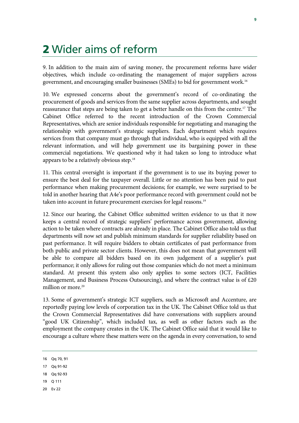### 2 Wider aims of reform

9. In addition to the main aim of saving money, the procurement reforms have wider objectives, which include co-ordinating the management of major suppliers across government, and encouraging smaller businesses (SMEs) to bid for government work.16

10. We expressed concerns about the government's record of co-ordinating the procurement of goods and services from the same supplier across departments, and sought reassurance that steps are being taken to get a better handle on this from the centre.17 The Cabinet Office referred to the recent introduction of the Crown Commercial Representatives, which are senior individuals responsible for negotiating and managing the relationship with government's strategic suppliers. Each department which requires services from that company must go through that individual, who is equipped with all the relevant information, and will help government use its bargaining power in these commercial negotiations. We questioned why it had taken so long to introduce what appears to be a relatively obvious step.<sup>18</sup>

11. This central oversight is important if the government is to use its buying power to ensure the best deal for the taxpayer overall. Little or no attention has been paid to past performance when making procurement decisions; for example, we were surprised to be told in another hearing that A4e's poor performance record with government could not be taken into account in future procurement exercises for legal reasons.<sup>19</sup>

12. Since our hearing, the Cabinet Office submitted written evidence to us that it now keeps a central record of strategic suppliers' performance across government, allowing action to be taken where contracts are already in place. The Cabinet Office also told us that departments will now set and publish minimum standards for supplier reliability based on past performance. It will require bidders to obtain certificates of past performance from both public and private sector clients. However, this does not mean that government will be able to compare all bidders based on its own judgement of a supplier's past performance; it only allows for ruling out those companies which do not meet a minimum standard. At present this system also only applies to some sectors (ICT, Facilities Management, and Business Process Outsourcing), and where the contract value is of  $£20$ million or more.<sup>20</sup>

13. Some of government's strategic ICT suppliers, such as Microsoft and Accenture, are reportedly paying low levels of corporation tax in the UK. The Cabinet Office told us that the Crown Commercial Representatives did have conversations with suppliers around "good UK Citizenship", which included tax, as well as other factors such as the employment the company creates in the UK. The Cabinet Office said that it would like to encourage a culture where these matters were on the agenda in every conversation, to send

- 18 Qq 92-93
- 19 Q 111
- 20 Ev 22

<sup>16</sup> Qq 70, 91

<sup>17</sup> Qq 91-92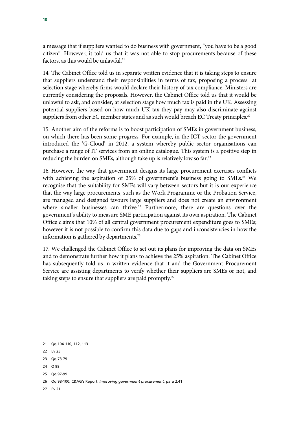a message that if suppliers wanted to do business with government, "you have to be a good citizen". However, it told us that it was not able to stop procurements because of these factors, as this would be unlawful.<sup>21</sup>

14. The Cabinet Office told us in separate written evidence that it is taking steps to ensure that suppliers understand their responsibilities in terms of tax, proposing a process at selection stage whereby firms would declare their history of tax compliance. Ministers are currently considering the proposals. However, the Cabinet Office told us that it would be unlawful to ask, and consider, at selection stage how much tax is paid in the UK. Assessing potential suppliers based on how much UK tax they pay may also discriminate against suppliers from other EC member states and as such would breach EC Treaty principles.<sup>22</sup>

15. Another aim of the reforms is to boost participation of SMEs in government business, on which there has been some progress. For example, in the ICT sector the government introduced the 'G-Cloud' in 2012, a system whereby public sector organisations can purchase a range of IT services from an online catalogue. This system is a positive step in reducing the burden on SMEs, although take up is relatively low so far.23

16. However, the way that government designs its large procurement exercises conflicts with achieving the aspiration of 25% of government's business going to SMEs.<sup>24</sup> We recognise that the suitability for SMEs will vary between sectors but it is our experience that the way large procurements, such as the Work Programme or the Probation Service, are managed and designed favours large suppliers and does not create an environment where smaller businesses can thrive.<sup>25</sup> Furthermore, there are questions over the government's ability to measure SME participation against its own aspiration. The Cabinet Office claims that 10% of all central government procurement expenditure goes to SMEs; however it is not possible to confirm this data due to gaps and inconsistencies in how the information is gathered by departments.<sup>26</sup>

17. We challenged the Cabinet Office to set out its plans for improving the data on SMEs and to demonstrate further how it plans to achieve the 25% aspiration. The Cabinet Office has subsequently told us in written evidence that it and the Government Procurement Service are assisting departments to verify whether their suppliers are SMEs or not, and taking steps to ensure that suppliers are paid promptly.<sup>27</sup>

- 25 Qq 97-99
- 26 Qq 98-100; C&AG's Report, *Improving government procurement,* para 2.41
- 27 Ev 21

<sup>21</sup> Qq 104-110, 112, 113

<sup>22</sup> Ev 23

<sup>23</sup> Qq 73-79

<sup>24</sup> Q 98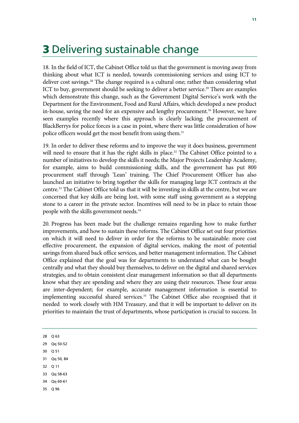### 3 Delivering sustainable change

18. In the field of ICT, the Cabinet Office told us that the government is moving away from thinking about what ICT is needed, towards commissioning services and using ICT to deliver cost savings.<sup>28</sup> The change required is a cultural one; rather than considering what ICT to buy, government should be seeking to deliver a better service.<sup>29</sup> There are examples which demonstrate this change, such as the Government Digital Service's work with the Department for the Environment, Food and Rural Affairs, which developed a new product in-house, saving the need for an expensive and lengthy procurement.<sup>30</sup> However, we have seen examples recently where this approach is clearly lacking; the procurement of BlackBerrys for police forces is a case in point, where there was little consideration of how police officers would get the most benefit from using them.<sup>31</sup>

19. In order to deliver these reforms and to improve the way it does business, government will need to ensure that it has the right skills in place.<sup>32</sup> The Cabinet Office pointed to a number of initiatives to develop the skills it needs; the Major Projects Leadership Academy, for example, aims to build commissioning skills, and the government has put 800 procurement staff through 'Lean' training. The Chief Procurement Officer has also launched an initiative to bring together the skills for managing large ICT contracts at the centre.33 The Cabinet Office told us that it will be investing in skills at the centre, but we are concerned that key skills are being lost, with some staff using government as a stepping stone to a career in the private sector. Incentives will need to be in place to retain those people with the skills government needs.<sup>34</sup>

20. Progress has been made but the challenge remains regarding how to make further improvements, and how to sustain these reforms. The Cabinet Office set out four priorities on which it will need to deliver in order for the reforms to be sustainable: more cost effective procurement, the expansion of digital services, making the most of potential savings from shared back office services, and better management information. The Cabinet Office explained that the goal was for departments to understand what can be bought centrally and what they should buy themselves, to deliver on the digital and shared services strategies, and to obtain consistent clear management information so that all departments know what they are spending and where they are using their resources. These four areas are inter-dependent; for example, accurate management information is essential to implementing successful shared services.<sup>35</sup> The Cabinet Office also recognised that it needed to work closely with HM Treasury, and that it will be important to deliver on its priorities to maintain the trust of departments, whose participation is crucial to success. In

28 Q 63

29 Qq 50-52

- 30 Q 51
- 31 Qq 50, 84
- 32 Q 11
- 33 Qq 58-63
- 34 Qq 60-61
- 35 Q 96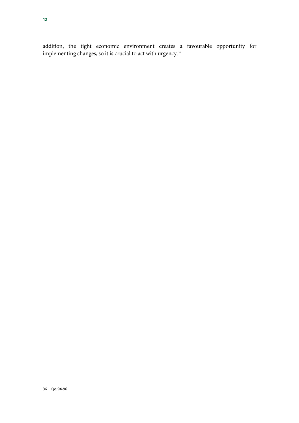addition, the tight economic environment creates a favourable opportunity for implementing changes, so it is crucial to act with urgency.<sup>36</sup>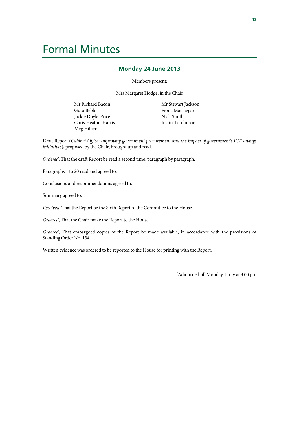## Formal Minutes

### **Monday 24 June 2013**

Members present:

Mrs Margaret Hodge, in the Chair

Mr Richard Bacon Guto Bebb Jackie Doyle-Price Chris Heaton-Harris Meg Hillier

Mr Stewart Jackson Fiona Mactaggart Nick Smith Justin Tomlinson

Draft Report (*Cabinet Office: Improving government procurement and the impact of government's ICT savings initiatives*), proposed by the Chair, brought up and read.

*Ordered*, That the draft Report be read a second time, paragraph by paragraph.

Paragraphs 1 to 20 read and agreed to.

Conclusions and recommendations agreed to.

Summary agreed to.

*Resolved*, That the Report be the Sixth Report of the Committee to the House.

*Ordered*, That the Chair make the Report to the House.

*Ordered*, That embargoed copies of the Report be made available, in accordance with the provisions of Standing Order No. 134.

Written evidence was ordered to be reported to the House for printing with the Report.

[Adjourned till Monday 1 July at 3.00 pm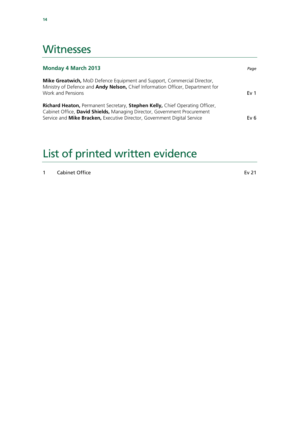### **Witnesses**

| <b>Monday 4 March 2013</b>                                                                                                                                                                                                           |                 |
|--------------------------------------------------------------------------------------------------------------------------------------------------------------------------------------------------------------------------------------|-----------------|
| <b>Mike Greatwich, MoD Defence Equipment and Support, Commercial Director,</b><br>Ministry of Defence and Andy Nelson, Chief Information Officer, Department for<br>Work and Pensions                                                | Ev <sub>1</sub> |
| Richard Heaton, Permanent Secretary, Stephen Kelly, Chief Operating Officer,<br>Cabinet Office, David Shields, Managing Director, Government Procurement<br>Service and Mike Bracken, Executive Director, Government Digital Service | Ev 6            |

# List of printed written evidence

| Cabinet Office | Ev 21 |
|----------------|-------|
|----------------|-------|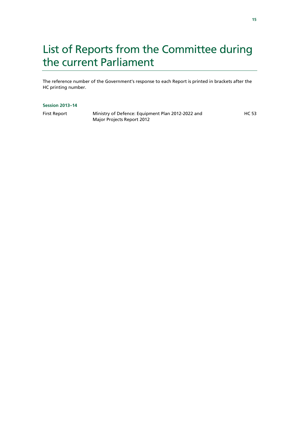# List of Reports from the Committee during the current Parliament

The reference number of the Government's response to each Report is printed in brackets after the HC printing number.

#### **Session 2013–14**

First Report Ministry of Defence: Equipment Plan 2012-2022 and Major Projects Report 2012

HC 53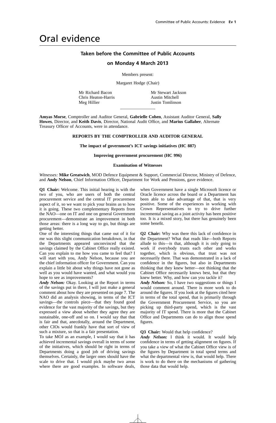### Oral evidence

### **Taken before the Committee of Public Accounts**

#### **on Monday 4 March 2013**

Members present:

Margaret Hodge (Chair)

Mr Richard Bacon Chris Heaton-Harris Meg Hillier

 $\overline{\phantom{a}}$  , where  $\overline{\phantom{a}}$ Mr Stewart Jackson Austin Mitchell Justin Tomlinson

**Amyas Morse**, Comptroller and Auditor General, **Gabrielle Cohen**, Assistant Auditor General, **Sally Howes**, Director, and **Keith Davis**, Director, National Audit Office, and **Marius Gallaher**, Alternate Treasury Officer of Accounts, were in attendance.

#### **REPORTS BY THE COMPTROLLER AND AUDITOR GENERAL**

**The impact of government's ICT savings initiatives (HC 887)**

#### **Improving government procurement (HC 996)**

#### **Examination of Witnesses**

*Witnesses:* **Mike Greatwich**, MOD Defence Equipment & Support, Commercial Director, Ministry of Defence, and **Andy Nelson**, Chief Information Officer, Department for Work and Pensions, gave evidence.

**Q1 Chair:** Welcome. This initial hearing is with the two of you, who are users of both the central procurement service and the central IT procurement aspect of it, so we want to pick your brains as to how it is going. These two complementary Reports from the NAO—one on IT and one on general Government procurement—demonstrate an improvement in both those areas: there is a long way to go, but things are getting better.

One of the interesting things that came out of it for me was this slight communication breakdown, in that the Departments appeared unconvinced that the savings claimed by the Cabinet Office really existed. Can you explain to me how you came to feel that? I will start with you, Andy Nelson, because you are the chief information officer for Government. Can you explain a little bit about why things have not gone as well as you would have wanted, and what would you hope to see as improvements?

*Andy Nelson:* Okay. Looking at the Report in terms of the savings put in there, I will just make a general comment about how they are presented on page 7. The NAO did an analysis showing, in terms of the ICT savings—the controls piece—that they found good evidence for the vast majority of the savings, but they expressed a view about whether they agree they are sustainable, one-off and so on. I would say that that is fair and that, anecdotally, around the Department, other CIOs would frankly have that sort of view of such a mixture, so that is a fair presentation.

To take MOJ as an example, I would say that it has achieved incremental savings overall in terms of some of the initiatives, which should be right in terms of Departments doing a good job of driving savings themselves. Certainly, the larger ones should have the scale to drive that. I would pick maybe two areas where there are good examples. In software deals,

when Government have a single Microsoft licence or Oracle licence across the board or a Department has been able to take advantage of that, that is very positive. Some of the experiences in working with Crown Representatives to try to drive further incremental saving as a joint activity has been positive too. It is a mixed story, but there has genuinely been some benefit.

**Q2 Chair:** Why was there this lack of confidence in the Department? What that reads like—both Reports allude to this—is that, although it is only going to work if everybody trusts each other and works together, which is obvious, that trust was not necessarily there. That was demonstrated in a lack of confidence in the figures, but also in Departments thinking that they knew better—not thinking that the Cabinet Office necessarily knows best, but that they knew better. Why, and how can you tackle it?

*Andy Nelson:* So, I have two suggestions or things I would comment around. There is more work to do around the figures. If you look at the figures cited here in terms of the total spend, that is primarily through the Government Procurement Service, so you are picking up third-party spend, which is the vast majority of IT spend. There is more that the Cabinet Office and Departments can do to align those spend figures.

#### **Q3 Chair:** Would that help confidence?

*Andy Nelson:* I think it would. It would help confidence in terms of getting alignment on figures. If you take a view of what the Cabinet Office view is of the figures by Department in total spend terms and what the departmental view is, that would help. There is work to do there on the mechanisms of gathering those data that would help.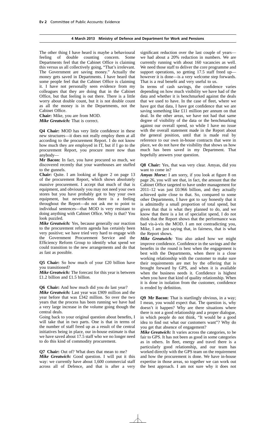The other thing I have heard is maybe a behavioural feeling of double counting concern. Some Departments feel that the Cabinet Office is claiming this versus us all collectively going, "That's irrelevant. The Government are saving money." Actually the money gets saved in Departments. I have heard that some people feel that the Cabinet Office is claiming it. I have not personally seen evidence from my colleagues that they are doing that in the Cabinet Office, but that feeling is out there. There is a little worry about double count, but it is not double count as all the money is in the Departments, not the Cabinet Office.

**Chair:** Mike, you are from MOD. *Mike Greatwich:* That is correct.

**Q4 Chair:** MOD has very little confidence in these new structures—it does not really employ them at all according to the procurement Report. I do not know how much they are employed in IT, but if I go to the procurement Report, you procure more now than anybody—

**Mr Bacon:** In fact, you have procured so much, we discovered recently that your warehouses are stuffed to the gunnels.

**Chair:** Quite. I am looking at figure 2 on page 13 of the procurement Report, which shows absolutely massive procurement. I accept that much of that is equipment, and obviously you may not need your own stores but you have probably got to buy your own equipment, but nevertheless there is a feeling throughout the Report—do not ask me to point to individual sentences—that MOD is very resistant to doing anything with Cabinet Office. Why is that? You look puzzled.

*Mike Greatwich:* Yes, because generally our reaction to the procurement reform agenda has certainly been very positive; we have tried very hard to engage with the Government Procurement Service and the Efficiency Reform Group to identify what spend we could transition to the new arrangements and do that as fast as possible.

**Q5 Chair:** So how much of your £20 billion have you transitioned?

*Mike Greatwich:* The forecast for this year is between £1.2 billion and £1.5 billion.

**Q6 Chair:** And how much did you do last year?

*Mike Greatwich:* Last year was £909 million and the year before that was £342 million. So over the two years that the process has been running we have had a very large increase in the volume going though the central deals.

Going back to your original question about benefits, I will take that in two parts. One is that in terms of the number of staff freed up as a result of the central initiatives being in place, our in-house estimate is that we have saved about 17.5 staff who we no longer need to do this kind of commodity procurement.

**Q7 Chair:** Out of? What does that mean to me? *Mike Greatwich:* Good question. I will put it this way: we currently have about 1,600 commercial staff across all of Defence, and that is after a very

significant reduction over the last couple of years we had about a 20% reduction in numbers. We are currently running with about 160 vacancies as well. We need those staff to deliver the core programme and support operations, so getting 17.5 staff freed up however it is done—is a very welcome step forwards. That is a real benefit and very useful to us.

In terms of cash savings, the confidence varies depending on how much visibility we have had of the data and whether it is benchmarked against the deals that we used to have. In the case of fleet, where we have got that data, I have got confidence that we are saving something like £11 million per annum on that deal. In the other areas, we have not had that same degree of visibility of the data or the benchmarking against our overall spend, so while I have no issue with the overall statement made in the Report about the general position, until that is made real by reference to our own in-house contracts that were in place, we do not have the visibility that shows us how much has been saved in my Department. That hopefully answers your question.

**Q8 Chair:** Yes, that was very clear. Amyas, did you want to come in?

*Amyas Morse:* I am sorry, if you look at figure 8 on page 26, you will see that, in fact, the amount that the Cabinet Office targeted to have under management for 2011–12 was just £0.966 billion, and they actually achieved quite close to that. So, compared to some other Departments, I have got to say honestly that it is admittedly a small proportion of total spend, but given that that is what they planned to do, and we know that there is a lot of specialist spend, I do not think that the Report shows that the performance was bad vis-à-vis the MOD. I am not contradicting you, Mike, I am just saying that, in fairness, that is what the Report shows.

*Mike Greatwich:* You also asked how we might improve confidence. Confidence in the savings and the benefits in the round is best when the engagement is best with the Departments, when there is a close working relationship with the customer to make sure their requirements are met by the offering that is brought forward by GPS, and when it is available when the business needs it. Confidence is highest when you have that kind of quality relationship. When it is done in isolation from the customer, confidence is eroded by definition.

**Q9 Mr Bacon:** That is startlingly obvious, in a way; I mean, you would expect that. The question is, why doesn't it happen? Why are there situations where there is not a good relationship and a proper dialogue, in which people do not think, "It would be a good idea to find out what our customers want"? Why do you get that absence of engagement?

*Mike Greatwich:* It varies across the categories, to be fair to GPS. It has not been as good in some categories as in others. In fleet, energy and travel there is a particularly good relationship, and our team has worked directly with the GPS team on the requirement and how the procurement is done. We have in-house expertise in those areas, so together we can work out the best approach. I am not sure why it does not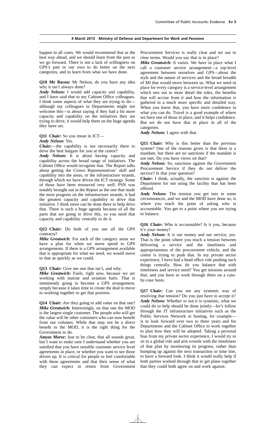happen in all cases. We would recommend that as the best way ahead, and we should learn from the past as we go forward. There is not a lack of willingness on GPS's part or our own to do better on the next categories, and to learn from what we have done.

**Q10 Mr Bacon:** Mr Nelson, do you have any idea why it isn't always done?

*Andy Nelson:* I would add capacity and capability, and I have said that to my Cabinet Office colleagues. I think some aspects of what they are trying to do although my colleagues in Departments might not welcome this—is about saying if they had a bit more capacity and capability on the initiatives they are trying to drive, it would help them on the huge agenda they have set.

**Q11 Chair:** So you mean in ICT—

*Andy Nelson:* Yes.

**Chair:**—the capability is not necessarily there to drive the best bargain for you at the centre?

*Andy Nelson:* It is about having capacity and capability across the broad range of initiatives. The Cabinet Office would recognise that. The Report talks about getting the Crown Representatives' skill and capability into the areas, or the infrastructure strands, through which we have driven the ICT strategy. Some of those have been resourced very well. PSN was notably brought out in the Report as the one that made the most progress on the infrastructure strands; it had the greatest capacity and capability to drive that initiative. I think more can be done there to help drive that. There is such a huge agenda because of all the parts that are going to drive this, so you need that capacity and capability centrally to do it.

**Q12 Chair:** Do both of you use all the GPS contracts?

*Mike Greatwich:* For each of the category areas we have a plan for when we move spend to GPS arrangements. If there is a GPS arrangement available that is appropriate for what we need, we would move to that as quickly as we could.

**Q13 Chair:** Give me one that isn't, and why.

*Mike Greatwich:* Fuels, right now, because we are working with marine and aviation fuels. That is imminently going to become a GPS arrangement, simply because it takes time to create the deal to move to working together to get that position.

**Q14 Chair:** Are they going to add value on that one? *Mike Greatwich:* Interestingly, on that one the MOD is the largest single customer. The people who will get the value will be other customers who can now benefit from our volumes. While that may not be a direct benefit to the MOD, it is the right thing for the Government to do.

*Amyas Morse:* Just to be clear, that all sounds great, but I want to make sure I understand whether you are satisfied that you have sensible customer service level agreements in place, or whether you want to see those driven up. It is critical for people to feel comfortable with these agreements and that their sense of what they can expect in return from Government

Procurement Services is really clear and set out in clear terms. Would you say that is in place?

*Mike Greatwich:* It varies. We have in place what I call a customer service arrangement—a top-level agreement between ourselves and GPS—about the style and the nature of services and the broad breadth of MI that would move between us. What we need in place for every category is a service-level arrangement which sets out in more detail the roles, the benefits that will accrue from it and how the information is gathered in a much more specific and detailed way. When you know that, you have more confidence in what you can do. Travel is a good example of where we have one of those in place, and it helps confidence. But we do not have that in place in all of the categories.

*Andy Nelson:* I agree with that.

**Q15 Chair:** Why is this better than the previous system? One of the reasons given is that there is a mandate, but there are no sanctions if the mandate is not met. Do you have views on that?

*Andy Nelson:* So, sanctions against the Government Procurement Service if they do not deliver the service? Is that your question?

**Chair:** I think, actually, the sanction is against the Department for not using the facility that has been offered.

*Andy Nelson:* The tension you get into in some circumstances, and we and the MOD have done so, is where you reach the point of asking who is accountable. You get to a point where you are trying to balance.

**Q16 Chair:** Who is accountable? Is it you, because it's your money?

*Andy Nelson:* It is our money and our service, yes. That is the point where you reach a tension between delivering a service and the timeliness and appropriateness of the procurement vehicle, and the centre is trying to push that. In my private sector experience, I have had a head office role pushing such things centrally. How do you balance that with timeliness and service need? You get tensions around that, and you have to work through them on a caseby-case basis.

**Q17 Chair:** Can you see any systemic way of resolving that tension? Do you just have to accept it? *Andy Nelson:* Whether or not it is systemic, what we could do to help should be done jointly—let's follow through the IT infrastructure initiatives such as the Public Services Network or hosting, for example is to look forward over two to three years and for Departments and the Cabinet Office to work together to plan how they will be adopted. Taking a personal bias from my private sector experience, I would try to sit in a global role and arm wrestle with the timeliness of that plan by monitoring its progress, rather than bumping up against the next transaction or time line, to have a forward look. I think it would really help if both parties worked through that to get plans together that they could both agree on and work against.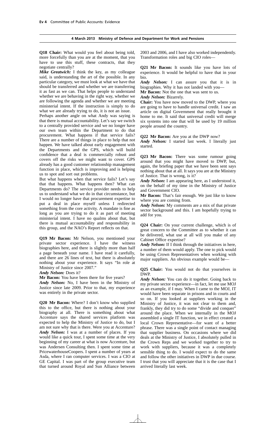**Q18 Chair:** What would you feel about being told, more forcefully than you are at the moment, that you have to use this stuff, these contracts, that they negotiate centrally?

*Mike Greatwich:* I think the key, as my colleague said, is understanding the art of the possible. In any particular category, we must look at what we have that should be transferred and whether we are transferring it as fast as we can. That helps people to understand whether we are behaving in the right way, whether we are following the agenda and whether we are meeting ministerial intent. If the instruction is simply to do what we are already trying to do, it is not an issue.

Perhaps another angle on what Andy was saying is that there is mutual accountability. Let's say we switch to a centrally provided service and we no longer have our own team within the Department to do that procurement. What happens if that service fails? There are a number of things in place to help that not happen. We have talked about early engagement with the Departments and the GPS, which will build confidence that a deal is commercially robust and covers off the risks we might want to cover. GPS already has a good customer relationship management function in place, which is improving and is helping us to spot and sort out problems.

But what happens when that service fails? Let's say that that happens. What happens then? What can Departments do? The service provider needs to help us to understand what we do in that circumstance, but I would no longer have that procurement expertise to put a deal in place myself unless I redirected something from the core activity. A mandate is fine as long as you are trying to do it as part of meeting ministerial intent. I have no qualms about that, but there is mutual accountability and responsibility in this group, and the NAO's Report reflects on that.

**Q19 Mr Bacon:** Mr Nelson, you mentioned your private sector experience. I have the witness biographies here, and there is slightly more than half a page beneath your name. I have read it carefully, and there are 26 lines of text, but there is absolutely nothing about your experience. It says "In role at Ministry of Justice since 2007."

*Andy Nelson:* Does it?

**Mr Bacon:** You have been there for five years?

*Andy Nelson:* No, I have been in the Ministry of Justice since late 2009. Prior to that, my experience was entirely in the private sector.

**Q20 Mr Bacon:** Where? I don't know who supplied this to the office, but there is nothing about your biography at all. There is something about what Accenture says the shared services platform was expected to help the Ministry of Justice to do, but I am not sure why that is there. Were you at Accenture? *Andy Nelson:* I was at a number of places. If you would like a quick tour, I spent some time at the very beginning of my career at what is now Accenture, but was Andersen Consulting then. I spent some time at PricewaterhouseCoopers. I spent a number of years at Asda, where I ran computer services. I was a CIO at GE Capital. I was part of the group executive team that turned around Royal and Sun Alliance between

2003 and 2006, and I have also worked independently. Transformation roles and big CIO roles—

**Q21 Mr Bacon:** It sounds like you have lots of experience. It would be helpful to have that in your bio.

*Andy Nelson:* I can assure you that it is in biographies. Why it has not landed with you—

**Mr Bacon:** Not the one that was sent to us.

*Andy Nelson:* Bizarrely.

**Chair:** You have now moved to the DWP, where you are going to have to handle universal credit. I saw an article on digital Government that really brought it home to me. It said that universal credit will merge six systems into one that will be used by 19 million people around the country.

**Q22 Mr Bacon:** Are you at the DWP now?

Andy Nelson: I started last week. I literally just started.

**Q23 Mr Bacon:** There was some rumour going around that you might have moved to DWP, but, again, the briefing paper that we have been sent says nothing about that at all. It says you are at the Ministry of Justice. That is wrong, is it?

*Andy Nelson:* I am appearing here, as I understood it, on the behalf of my time in the Ministry of Justice and Government CIO.

**Mr Bacon:** That's fair enough. We just like to know where you are coming from.

*Andy Nelson:* My comments are a mix of that private sector background and this. I am hopefully trying to add for you.

**Q24 Chair:** On your current challenge, which is of great concern to the Committee as to whether it can be delivered, what use at all will you make of any Cabinet Office expertise?

*Andy Nelson:* If I think through the initiatives in here, a number of them would apply. The one to pick would be using Crown Representatives when working with major suppliers. An obvious example would be—

**Q25 Chair:** You would not do that yourselves in DWP.

*Andy Nelson:* You can do it together. Going back to my private sector experience—in fact, let me use MOJ as an example, if I may. When I came to the MOJ, IT would have been separate in prisons and in courts and so on. If you looked at suppliers working in the Ministry of Justice, it was not clear to them and, frankly, they did try to do some "divide and conquer" around the place. When we internally in the MOJ assembled a single IT function, we in effect created a local Crown Representative—for want of a better phrase. There was a single point of contact managing that supplier business. On occasions where we did deals at the Ministry of Justice, I absolutely pulled in the Crown Reps and we worked together to try to work with suppliers, because it was a completely sensible thing to do. I would expect to do the same and follow the other initiatives in DWP in due course. I trust that you will appreciate that it is the case that I arrived literally last week.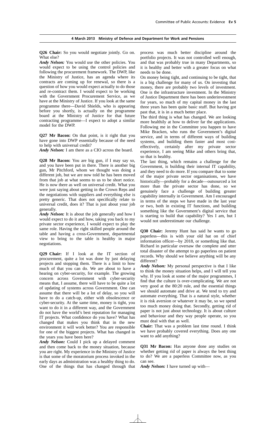**Q26 Chair:** So you would negotiate jointly. Go on. What else?

*Andy Nelson:* You would use the other policies. You would expect to be using the control policies and following the procurement framework. The DWP, like the Ministry of Justice, has an agenda where its contracts are coming up for renewal, so there is a question of how you would expect actually to do those and re-contract them. I would expect to be working with the Government Procurement Service, as we have at the Ministry of Justice. If you look at the same programme there—David Shields, who is appearing before you shortly, is actually on the programme board at the Ministry of Justice for that future contracting programme—I expect to adopt a similar model for the DWP.

**Q27 Mr Bacon:** On that point, is it right that you have gone into DWP essentially because of the need to help with universal credit?

*Andy Nelson:* I am there as a CIO across the board.

**Q28 Mr Bacon:** You are big gun, if I may say so, and you have been put in there. There is another big gun, Mr Pitchford, whom we thought was doing a different job, but we are now told he has been moved from that job at what seems to us to be short notice. He is now there as well on universal credit. What you were just saying about getting in the Crown Reps and the negotiations with suppliers and everything else is pretty generic. That does not specifically relate to universal credit, does it? That is just about your job generally.

*Andy Nelson:* It is about the job generally and how I would expect to do it and how, taking you back to my private sector experience, I would expect to play the same role. Having the right skilled people around the table and having a cross-Government, departmental view to bring to the table is healthy in major negotiations.

**Q29 Chair:** If I look at the IT section of procurement, quite a lot was done by just delaying projects and stopping them. There is a limit to how much of that you can do. We are about to have a hearing on cyber-security, for example. The growing concern across Government with cyber-security means that, I assume, there will have to be quite a lot of updating of systems across Government. One can assume that there will be a lot of delay, so you will have to do a catch-up, either with obsolescence or cyber-security. At the same time, money is tight, you want to do it in a different way, and the Government do not have the world's best reputation for managing IT projects. What confidence do you have? What has changed that makes you think that in the new environment it will work better? You are responsible for one of the biggest projects. What has changed in the years you have been here?

*Andy Nelson:* Could I pick up a delayed comment and then come back to the money situation, because you are right. My experience in the Ministry of Justice is that some of the moratorium process invoked in the early days as administration was a healthy thing to do. One of the things that has changed through that

process was much better discipline around the portfolio projects. It was not controlled well enough, and that was probably true in many Departments, so it is healthy and better with a greater focus on what needs to be done.

On money being tight, and continuing to be tight, that is a big challenge for many of us. On investing that money, there are probably two levels of investment. One is the infrastructure investment. In the Ministry of Justice Department there has been underinvestment for years, so much of my capital money in the last three years has been quite basic stuff. But having got past that, it is in a much better place.

The third thing is what has changed. We are looking more healthily at how to deliver far the applications. Following me in the Committee you happen to have Mike Bracken, who runs the Government's digital service, and in terms of different ways of building systems, and building them faster and most costeffectively, certainly after my private sector experience, I am seeing Mike and others bring that, so that is healthy.

The last thing, which remains a challenge for the Government, is building their internal IT capability, and they need to do more. If you compare that to some of the major private sector organisations, we have historically—probably for a decade—outsourced a lot more than the private sector has done, so we genuinely face a challenge of building greater capability internally in Government. Am I encouraged in terms of the steps we have made in the last year or two, both in existing IT functions, and building something like the Government's digital service that is starting to build that capability? Yes I am, but I would not underestimate our challenge.

**Q30 Chair:** Jeremy Hunt has said he wants to go paperless—this is with your old hat on of chief information officer—by 2018, or something like that. Richard in particular oversaw the complete and utter total disaster of the attempt to go paperless on patient records. Why should we believe anything will be any different?

*Andy Nelson:* My personal perspective is that I like to think the money situation helps, and I will tell you why. If you look at some of the major programmes, I find that the culture is over-complicating. We are not very good at the 80:20 rule, and the essential things we should automate and drive at. We tend to try and automate everything. That is a natural style, whether it is risk aversion or whatever it may be, so we spend too much money doing that. Secondly, getting rid of paper is not just about technology. It is about culture and behaviour and they way people operate, so you must deal with that as well.

**Chair:** That was a problem last time round. I think we have probably covered everything. Does any one want to add anything?

**Q31 Mr Bacon:** Has anyone done any studies on whether getting rid of paper is always the best thing to do? We are a paperless Committee now, as you can see.

*Andy Nelson:* I have turned up with—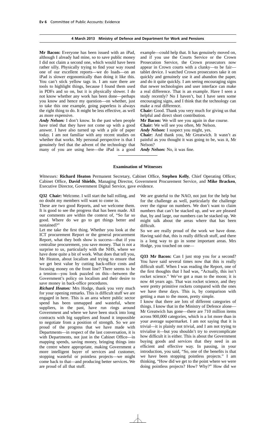**Mr Bacon:** Everyone has been issued with an iPad, although I already had mine, so to save public money I did not claim a second one, which would have been rather silly. Physically trying to find your way round one of our excellent reports—we do loads—on an iPad is slower ergonomically than doing it like this. You can't stick yellow tags in. I am sure there are tools to highlight things, because I found them used in PDFs and so on, but it is physically slower. I do not know whether any work has been done—perhaps you know and hence my question—on whether, just to take this one example, going paperless is always the right thing to do. It might be less effective, as well as more expensive.

*Andy Nelson:* I don't know. In the past when people have tried that they have not come up with a good answer. I have also turned up with a pile of paper today. I am not familiar with any recent studies on whether that works. My personal perspective is that I genuinely feel that the advent of the technology that many of you are using here—the iPad is a good

example—could help that. It has genuinely moved on, and if you use the Courts Service or the Crown Prosecution Service, the Crown prosecutors now appear in Crown courts with a clunky—to be fair tablet device. I watched Crown prosecutors take it on quickly and genuinely use it and abandon the paper, and do it quite quickly. I am seeing encouraging signs that newer technologies and user interface can make a real difference. That is an example. Have I seen a study recently? No I haven't, but I have seen some encouraging signs, and I think that the technology can make a real difference.

**Chair:** Good. Thank you very much for giving us that helpful and direct short contribution.

**Mr Bacon:** We will see you again in due course.

**Chair:** We will see you often, Mr Nelson.

*Andy Nelson:* I suspect you might, yes.

**Chair:** And thank you, Mr Greatwich. It wasn't as painful as you thought it was going to be, was it, Mr Nelson?

*Andy Nelson:* No, it was fine.

#### **Examination of Witnesses**

*Witnesses:* **Richard Heaton** Permanent Secretary, Cabinet Office, **Stephen Kelly**, Chief Operating Officer, Cabinet Office, **David Shields**, Managing Director, Government Procurement Service, and **Mike Bracken**, Executive Director, Government Digital Service, gave evidence.

**Q32 Chair:** Welcome. I will start the ball rolling, and no doubt my members will want to come in.

These are two good Reports, and we welcome them. It is good to see the progress that has been made. All our comments are within the context of, "So far so good. Where do we go to get things better and sustained?"

Let me take the first thing. Whether you look at the ICT procurement Report or the general procurement Report, what they both show is success—that if you centralise procurement, you save money. That is not a surprise to us, particularly with the NHS, where we have done quite a bit of work. What does that tell you, Mr Heaton, about localism and trying to ensure that we get best value by cutting back-office costs and focusing money on the front line? There seems to be a tension—you look puzzled on this—between the Government's policy on localism and their desire to save money in back-office procedures.

*Richard Heaton:* Mrs Hodge, thank you very much for your opening remarks. This is difficult stuff we are engaged in here. This is an area where public sector spend has been unmapped and wasteful, where suppliers, in the past, have run rings around Government and where we have been stuck into long contracts with big suppliers and found it impossible to negotiate from a position of strength. So we are proud of the progress that we have made with Departments—in respect of the last conversation, it is with Departments, not just in the Cabinet Office—in mapping spends, saving money, bringing things into the centre where appropriate, making Government a more intelligent buyer of services and customer, stopping wasteful or pointless projects—we might come back to that—and producing better services. We are proud of all that stuff.

We are grateful to the NAO, not just for the help but for the challenge as well, particularly the challenge over the rigour on numbers. We don't want to claim numbers that can't be stacked up, and we are pleased that, by and large, our numbers can be stacked up. We might talk about the areas where that has been difficult.

So we are really proud of the work we have done. Having said that, this is really difficult stuff, and there is a long way to go in some important areas. Mrs Hodge, you touched on one—

**Q33 Mr Bacon:** Can I just stop you for a second? You have said several times now that this is really difficult stuff. When I was reading the Report, one of the first thoughts that I had was, "Actually, this isn't rocket science." We've got a man to the moon; it is now 44 years ago. That was rocket science, and they were pretty primitive rockets compared with the ones we have these days. This is, by comparison with getting a man to the moon, pretty simple.

I know that there are lots of different categories of things. I know that in the Ministry of Defence alone— Mr Greatwich has gone—there are 710 million items across 900,000 categories, which is a lot more than in your average supermarket. I am not saying that it is trivial—it is plainly not trivial, and I am not trying to trivialise it—but you shouldn't try to overcomplicate how difficult it is either. This is about the Government buying goods and services that they need in an efficient and effective way. In passing, in your introduction, you said, "So, one of the benefits is that we have been stopping pointless projects." I am thinking, "How did we get to the point where we were doing pointless projects? How? Why?" How did we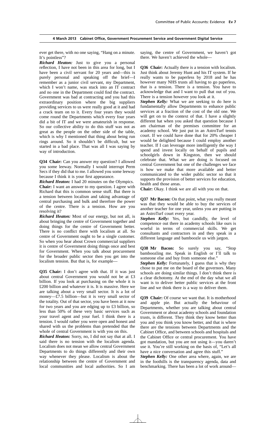ever get there, with no one saying, "Hang on a minute. It's pointless"?

*Richard Heaton:* Just to give you a personal reflection, I have not been in this area for long, but I have been a civil servant for 20 years and—this is purely personal and speaking off the brief—I remember as a junior civil servant, my Department, which I won't name, was stuck into an IT contract and no one in the Department could find the contract. Government was bad at contracting and you had this extraordinary position where the big suppliers providing services to us were really good at it and had a crack team on to it. Every four years they would come round the Departments which every four years did a bit of IT and we were amateurish in response. So our collective ability to do this stuff was not as great as the people on the other side of the table, which is why I mentioned that thing about being run rings around. So it shouldn't be difficult, but we started in a bad place. That was all I was saying by way of introduction.

**Q34 Chair:** Can you answer my question? I allowed you some leeway. Normally I would interrupt Perm Secs if they did that to me. I allowed you some leeway because I think it is your first appearance.

*Richard Heaton:* I had 20 minutes on the Olympics. **Chair:** I want an answer to my question. I agree with Richard that this is common sense stuff. But there is a tension between localism and taking advantage of central purchasing and bulk and therefore the power of the centre. There is a tension. How are you resolving it?

*Richard Heaton:* Most of our energy, but not all, is about bringing the centre of Government together and doing things for the centre of Government better. There is no conflict there with localism at all. So centre of Government ought to be a single customer. So when you hear about Crown commercial suppliers it is centre of Government doing things once and best for Government. When you talk about procurement for the broader public sector then you get into the localism tension. But that is, for example—

**Q35 Chair:** I don't agree with that. If it was just about central Government you would not be at £3 billion. If you look at purchasing on the whole it is £200 billion and whatever it is. It is massive. Here we are talking about a very small sector. It is a lot of money—£7.5 billion—but it is very small sector of the totality. Out of that sector, you have been at it now for two years and you are edging up to £3 billion, so less than 50% of these very basic services such as your travel agent and your fuel. I think there is a tension. I would rather you were open and honest and shared with us the problems than pretended that the whole of central Government is with you on this.

*Richard Heaton:* Sorry, no, I did not say that at all. I said there is no tension with the localism agenda. Localism does not mean we allow central Government Departments to do things differently and their own way whenever they please. Localism is about the relationship between the centre of Government and local communities and local authorities. So I am

saying, the centre of Government, we haven't got there. We haven't achieved the whole—

**Q36 Chair:** Actually there is a tension with localism. Just think about Jeremy Hunt and his IT system. If he really wants to be paperless by 2018 and he has however many NHS trusts all having to go paperless, that is a tension. There is a tension. You have to acknowledge that and I want to pull that out of you. There is a tension however you look at it.

*Stephen Kelly:* What we are seeking to do here is fundamentally allow Departments to enhance public services at a fraction of the cost of the old one. We will get on to the context of that. I have a slightly different hat when you asked that question because I am chairman of the premises committee for an academy school. We just put in an AstroTurf tennis court. If we could have done that for 20% cheaper I would be delighted because I could employ another teacher. If I can leverage more intelligently the way I spend and invest locally on behalf of pupils and schoolgirls down in Kingston, then we should celebrate that. What we are doing is focused on central Government but one of the challenges we face is how we make that more available and better communicated to the wider public sector so that it supports the provision of better services for education, health and those areas.

**Chair:** Okay. I think we are all with you on that.

**Q37 Mr Bacon:** On that point, what you really meant was that they would be able to buy the services of another teacher for one year, unless you are putting in an AstroTurf court every year.

**Stephen Kelly:** Yes, but candidly, the level of competence out there in academy schools like ours is woeful in terms of commercial skills. We get consultants and contractors in and they speak in a different language and bamboozle us with jargon.

**Q38 Mr Bacon:** So surely you say, "Stop bamboozling me. Speak in English or I'll talk to someone else and buy from someone else."

*Stephen Kelly:* Fortunately, I guess that is why they chose to put me on the board of the governors. Many schools are doing similar things. I don't think there is a clear dichotomy. At the end of the day what we all want is to deliver better public services at the front line and we think there is a way to deliver them.

**Q39 Chair:** Of course we want that. It is motherhood and apple pie. But actually the behaviour of Departments, whether you are talking about central Government or about academy schools and foundation trusts, is different. They think they know better than you and you think you know better, and that is where there are the tensions between Departments and the Cabinet Office, and between schools and hospitals and the Cabinet Office or central procurement. You have got mandation, but you are not using it—you daren't use it. You're still working on the basis of, "Let's all have a nice conversation and agree this stuff."

*Stephen Kelly:* One other area where, again, we are in the foothills is the transparency agenda, data and benchmarking. There has been a lot of work around—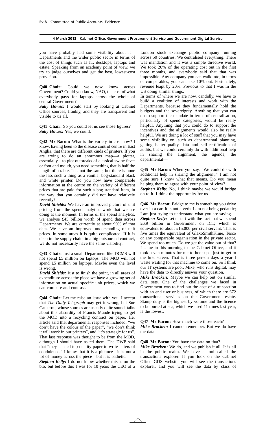you have probably had some visibility about it— Departments and the wider public sector in terms of the cost of things such as IT, desktops, laptops and estate. Speaking from an academy point of view, we try to judge ourselves and get the best, lowest-cost provision.

**Q40 Chair:** Could we now know across Government? Could you know, NAO, the cost of what everybody pays for laptops across the whole of central Government?

*Sally Howes:* I would start by looking at Cabinet Office sources, frankly, and they are transparent and visible to us all.

**Q41 Chair:** So you could let us see those figures? *Sally Howes:* Yes, we could.

**Q42 Mr Bacon:** What is the variety in cost now? I know, having been to the disease control centre in East Anglia, that there are different kinds of printers. If you are trying to do an enormous map—a plotter, essentially—to plot outbreaks of classical swine fever or foot and mouth, you need something that is half the length of a table. It is not the same, but there is none the less such a thing as a vanilla, bog-standard black and white printer. Do you now have comparable information at the centre on the variety of different prices that are paid for such a bog-standard item, in the way that you certainly did not have relatively recently?

*David Shields:* We have an improved picture of unit pricing from the spend analytics work that we are doing at the moment. In terms of the spend analytics, we analyse £45 billion worth of spend data across Departments. We are currently at about 90% of that data. We have an improved understanding of unit prices. In some areas it is quite complicated. If it is deep in the supply chain, in a big outsourced contract, we do not necessarily have the same visibility.

**Q43 Chair:** Just a small Department like DCMS will not spend £5 million on laptops. The MOJ will not spend £5 million on laptops. Maybe even the level is wrong.

*David Shields:* Just to finish the point, in all areas of expenditure across the piece we have a growing set of information on actual specific unit prices, which we can compare and contrast.

**Q44 Chair:** Let me raise an issue with you. I accept that *The Daily Telegraph* may get it wrong, but Sue Cameron, whose sources are usually quite sound, talks about this absurdity of Francis Maude trying to get the MOD into a recycling contract on paper. Her article said that departmental responses included: "we don't have the colour of the paper", "we don't think it will work in our printers", and "it's strategic for us". That last response was thought to be from the MOD, although I should have asked them. The DWP said that "they needed top-quality paper to write letters of condolence." I know that it is a pittance—it is not a lot of money across the piece—but it is pathetic.

*Stephen Kelly:* I do not know whether this is on the bio, but before this I was for 10 years the CEO of a London stock exchange public company running across 50 countries. We centralised everything. There was mandation and it was a simple directive world. We took 20% of the operating cost out in the first three months, and everybody said that that was impossible. Any company you can walk into, in terms of comparables, you can take 10% out. Fortunately, revenue leapt by 20%. Previous to that I was in the US doing similar things.

In terms of where we are now, candidly, we have to build a coalition of interests and work with the Departments, because they fundamentally hold the budgets and the sovereignty. Anything that you can do to support the mandate in terms of centralisation, particularly of spend categories, would be really helpful. Anything that you could do to support the incentives and the alignments would also be really helpful. We are doing a lot of stuff that you may have some visibility on, such as departmental planning, getting better-quality data and self-certification of audits, but we could certainly do with additional help sharing the alignment, the agenda, the departmental—

**Q45 Mr Bacon:** When you say, "We could do with additional help in sharing the alignment," I am not quite sure I know what that means. Do you mean helping them to agree with your point of view?

*Stephen Kelly:* No, I think maybe we would bridge on to it. I think the opportunity for us—

**Q46 Mr Bacon:** Bridge to me is something you drive over in a car. It is not a verb. I am not being pedantic; I am just trying to understand what you are saying.

*Stephen Kelly:* Let's start with the fact that we spend £6.9 billion in Government on ICT, which is equivalent to about £15,000 per civil servant. That is five times the equivalent of GlaxoSmithKline, Tesco or any comparable organisation in the private sector. We spend too much. Do we get the value out of that? I came in this morning to the Cabinet Office, and it took seven minutes for me to boot up—just to get to the first screen. That is three person days a year I waste waiting for that machine to come on. So I think our IT systems are poor. Mike, who runs digital, may have the data to directly answer your question.

*Mike Bracken:* Maybe we can help out on similar data sets. One of the challenges we faced in Government was to find out the cost of a transaction with an end user or business, of which there are 672. transactional services on the Government estate. Stamp duty is the highest by volume and the licence to be buried at sea, which we used 11 times last year, is the lowest.

**Q47 Mr Bacon:** How much were those each?

*Mike Bracken:* I cannot remember. But we do have the data.

**Q48 Mr Bacon:** You have the data on that?

*Mike Bracken:* We do, and we publish it all. It is all in the public realm. We have a tool called the transactions explorer. If you look on the Cabinet Office GDS website you will see the transactions explorer, and you will see the data by class of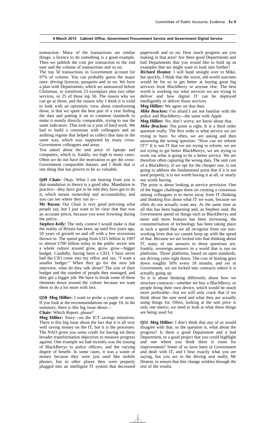transaction. Many of the transactions are similar things; a licence to do something is a good example. Then we publish the cost per transaction to the end user and the volume of transactions and so on.

The top 50 transactions in Government account for 97% of volume. You can probably guess the major ones: driving licences, passports and so on. We have a plan with Departments, which we announced before Christmas, to transform 23 exemplars plus two other services, so 25 of those top 50. The reason why we can go at those, and the reason why I think it is valid to look with an optimistic view about transforming those, is that we spent the best part of a year finding the data and putting it on to common standards to make it mostly directly comparable, trying to use the same indicators. That took us a year of hard work. We had to build a consensus with colleagues and an auditing regime that helped us collect that data in the same way, which was supported by many cross-Government colleagues and areas.

You asked about the unit price of laptops and computers, which is, frankly, too high in many cases. Often we do not have the motivation to get the cross-Government comparable dataset, and I think that is one thing that has proven to be so valuable.

**Q49 Chair:** Okay. What I am hearing from you is that mandation in theory is a good idea. Mandation in practice—they have got to be told they have got to do it, which means ownership and accountability, and you can see where they run in—

**Mr Bacon:** Our Chair is very good précising what people say, but I just want to be clear that that was an accurate précis, because you were frowning during the précis.

*Stephen Kelly:* The only contest I would make is that the reality of Britain has been, up until five years ago, 50 years of growth on and off with a few recessions thrown in. The spend going from £315 billion in 1997 to almost £700 billion today in the public sector sets a whole culture around grow, grow, grow—bigger budget. Candidly, having been a CEO, I have never had the CIO come into my office and say, "I want a smaller budget." When they go for the next job interview, what do they talk about? The size of their budget and the number of people they managed, and they get a bigger job. We have to break some of these elements down around the culture because we want them to do a lot more with less.

**Q50 Meg Hillier:** I want to probe a couple of areas. If you look at the recommendations on page 10, in the summary, there is this big issue about—

**Chair:** Which Report, please?

**Meg Hillier:** Sorry—on the ICT savings initiatives. There is this big issue about the fact that it is all very well saving money on the IT, but it is the processes. The NAO gives you some credit for having set these broader transformation objectives to measure progress against. One example we had recently was the issuing of BlackBerrys to police officers, and the varying degree of benefit. In some cases, it was a waste of money because they were just used like mobile phones, but in other places they were properly plugged into an intelligent IT system that decreased

paperwork and so on. How much progress are you making in that area? Are there good Departments and bad Departments that you would like to hold up as examples that we might want to look into further?

*Richard Heaton:* I will hand straight over to Mike, but quickly, I think that the worst, old-world outcome would be for us to get better at buying great big services from BlackBerry or anyone else. The best world is working out what services we are trying to deliver and how digital IT can be deployed intelligently to deliver those services.

**Meg Hillier:** We agree on that then.

*Mike Bracken:* I'm afraid I am not familiar with the police and BlackBerry—the same with Apple.

**Meg Hillier:** No, don't worry, we know about that.

*Mike Bracken:* The point is right. It is a third order question really. The first order is what service we are trying to have. So often, we are asking and then answering the wrong question: "How can we reform IT?" It is not IT that we are trying to reform; we are not trying to get better BlackBerrys, we are trying to work out what is going to be a better service. We are therefore often capturing the wrong data. The unit cost of a BlackBerry, if we opt for the cheaper one, is not going to address the fundamental point that if it is not used properly, it is not worth having it at all, or nearly not worth having.

The point is about looking at service provision. One of the bigger challenges there on creating a consensus among colleagues is to move away from IT thinking and thinking first about what IT we want, because we often do not actually want any. At the same time as all this has been happening and, as Stephen said, the Government spend on things such as BlackBerrys and more and more features has been increasing, the consumerisation of technology has been taking place at such a speed that we all recognise from our nonworking lives that we cannot keep up with the speed of that. Because we are locked into that thinking about IT, many of our answers to those questions are, frankly, sovereign answers in a world that is run on platforms. Those platforms, based on open standards, are driving costs right down. The cost of hosting goes down roughly 50% every 18 months, and yet in Government, we are locked into contracts where it is actually going up.

So it is about thinking differently about how we structure contracts—whether we buy a BlackBerry, or people bring their own device, which would be much more preferable—but we will only crack that if we think about the user need and what they are actually using things for. Often, looking at the unit price is only one metric; we need to look at what these things are being used for.

**Q51 Meg Hillier:** I don't think that any of us would disagree with that, so the question is, what about the progress? Is there a good Department and a bad Department, or a good project that you could highlight and one where you think there is room for improvement? Some of us have been in Government and dealt with IT, and I hear exactly what you are saying, but you are in the driving seat really, Mr Heaton, to ensure that this change winkles through the rest of the results.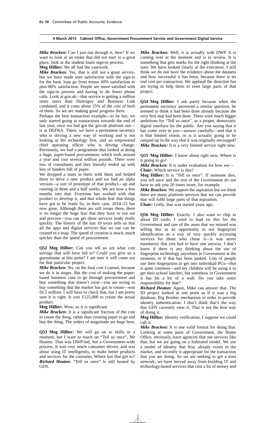*Mike Bracken:* Can I just run through it, then? If we want to look at an estate that did not start in a great place, look at the student loans sign-in process.

**Meg Hillier:** We all had the casework.

*Mike Bracken:* Yes, that is still not a great service, but we have made user satisfaction with the sign-in for the basic loan go from minus 60% satisfaction to plus 80% satisfaction. People are more satisfied with the sign-in process and having to do fewer phone calls. Look at gov.uk—that service is getting a million more users than Directgov and Business Link combined, and it costs about 25% of the cost of both of them. So we are making good progress there.

Perhaps the best transaction example—to be fair, we only started going at transactions towards the end of last year, once we had got the gov.uk platform out is at DEFRA. There, we have a permanent secretary who is driving a new way of working and is not looking at the technology first, and an empowered chief operating officer who is driving change. Previously, we had a programme that looked at doing a huge, paper-based procurement, which took around a year and cost several million pounds. There were lots of consultants and they literally ended up with lots of binders full of paper.

We dropped a team in there with them and helped them to drive a new product and we had an alpha version—a sort of prototype of that product—up and running in three and a half weeks. We are now a few months into that. Everyone has worked with that product to develop it, and that whole fear that things have got to be ready by, in their case, 2014–15 has now gone. Although there are still issues there, there is no longer the huge fear that they have to run out and procure—you can get these services ready really quickly. The history of the last 10 years tells us that all the apps and digital services that we use can be created in a snap. The speed of creation is much, much quicker than the speed of procurement.

**Q52 Meg Hillier:** Can you tell us yet what cost savings that will have led to? Could you give us a guesstimate at this point? I am sure it will come out for that particular project.

*Mike Bracken:* No, on the final cost I cannot, because we do it in stages. But the cost of making the paperbased business case to go through procurement and buy something that doesn't exist—you are trying to buy something that the market has got to create—was £6.5 million. I will have to check that, but I am pretty sure it is right. It cost £125,000 to create the actual product.

**Meg Hillier:** Wow, so it is significant.

*Mike Bracken:* It is a significant fraction of the cost to create the thing, rather than creating paper to go and buy the thing. The orders of magnitude are huge here.

**Q53 Meg Hillier:** We will go on to skills in a moment, but I want to touch on "Tell us once", Mr Heaton. That was DWP-led, but a Government-wide process. It was very much consumer driven, and was about using IT intelligently, to make better products and services for the customer. Where has that got to? *Richard Heaton:* "Tell us once" is still hosted by GDS.

*Mike Bracken:* Well, it is actually with DWP. It is coming over at the moment and is in review. It is something that gets marks for the right thinking at the start. We have looked clearly at the execution. I still think we do not have the evidence about the datasets and how successful it has been, because there is no real cost per transaction. We applaud the direction but are trying to help them to reset large parts of that project.

**Q54 Meg Hillier:** I ask partly because when the permanent secretary answered a similar question, he seemed to think it had been done already because the very first step had been done. There were much bigger ambitions for "Tell us once", as a proper, democratic digital interface for the public. Are you saying that it has come over to you—answer carefully—and that it is that limited vision, or is it actually going to be ramped up in the way that it was originally envisaged? *Mike Bracken:* It is a very limited service right now.

**Q55 Meg Hillier:** I know about right now. Where is it going to go?

*Mike Bracken:* It is under evaluation for how we— **Chair:** Which service is this?

**Meg Hillier:** It is "Tell us once". If someone dies, you tell once and the rest of the Government do not have to ask you 20 times more, for example.

*Mike Bracken:* We support the aspiration but we think there are many platform services that we can provide that will fulfil large parts of that aspiration. **Chair:** Golly, that was started years ago.

**Q56 Meg Hillier:** Exactly. I also want to chip in about ID cards. I used to lead on this for the Government and one of the areas that we missed was selling this as an opportunity to use fingerprint identification as a way of very quickly accessing services for those who chose it—it was never mandatory that you had to have one anyway. I don't know if there is any thinking about the use of fingerprint technology anywhere in Government at the moment, or if that has been junked. Lots of people use their fingerprints to get into individual PCs—that is quite common—and my children will be using it to get their school lunches; but somehow in Government it has hit a bit of a wall. Do you take some responsibility for that?

*Richard Heaton:* Again, Mike can answer that. The ID project looked at one point as if it was a big database, Big Brother mechanism in order to provide identity authentication. I don't think that's the way that GDS currently view it. That is not the best way of doing it.

**Meg Hillier:** Identity verification, I suppose we could call it.

*Mike Bracken:* It is one valid format for doing that. Looking at some parts of Government, the Home Office, obviously, have agencies that use services like that, but we are going on a federated model. We use a model of identity that first, already exists in the market, and secondly is appropriate for the transaction that you are doing. So we are seeking to get a trust network; we have moved away from building IT and technology-based services that cost a lot of money and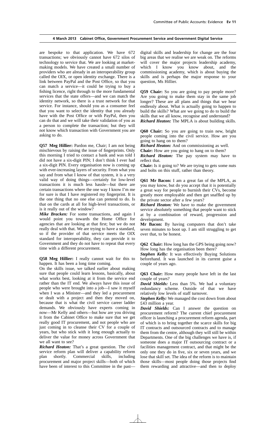are bespoke to that application. We have 672 transactions; we obviously cannot have 672 silos of technology to service that. We are looking at marketmaking models. We have created a small number of providers who are already in an interoperability group called the OIX, or open identity exchange. There is a link between PayPal and the Post Office, so that you can match a service—it could be trying to buy a fishing licence, right through to the more fundamental services that the state offers—and we can match the identity network, so there is a trust network for that service. For instance, should you as a consumer feel that you want to select the identity that you already have with the Post Office or with PayPal, then you can do that and we will take their validation of you as a person to complete the transaction; but they will not know which transaction with Government you are asking to do.

**Q57 Meg Hillier:** Pardon me, Chair; I am not being mischievous by raising the issue of fingerprints. Only this morning I tried to contact a bank and was told I did not have a six-digit PIN; I don't think I ever had a six-digit PIN. Every organisation now is coming up with ever-increasing layers of security. From what you say and from what I know of that system, it is a very valid way of doing things—certainly for low-level transactions it is much less hassle—but there are certain transactions where the one way I know I'm me for sure is that I have registered my fingerprint. It is the one thing that no one else can pretend to do. Is that on the cards at all for high-level transactions, or is it really out of the window?

*Mike Bracken:* For some transactions, and again I would point you towards the Home Office for agencies that are looking at that first; but we do not really deal with that. We are trying to have a standard, so if the provider of that service meets the OIX standard for interoperability, they can provide it to Government and they do not have to repeat that every time with a different procurement.

**Q58 Meg Hillier:** I really cannot wait for this to happen. It has been a long time coming.

On the skills issue, we talked earlier about making sure that people could learn lessons, basically, about what works best, looking at it from the service end rather than the IT end. We always have this issue of people who were brought into a job—I saw it myself when I was a Minister—and they led a procurement or dealt with a project and then they moved on, because that is what the civil service career ladder demands. We obviously have experts coming in now—Mr Kelly and others—but how are you driving it from the Cabinet Office to make sure that we get really good IT procurement, and not people who are just coming in to cleanse their CV for a couple of years, but who stick with it long enough actually to deliver the value for money across Government that we all want to see?

*Richard Heaton:* That's a great question. The civil service reform plan will deliver a capability reform plan shortly. Commercial skills, including procurement and major project skills—both of which have been of interest to this Committee in the pastdigital skills and leadership for change are the four big areas that we realise we are weak on. The reforms will cover the major projects leadership academy, which I know you know about, and the commissioning academy, which is about buying the skills and is perhaps the major response to your question, Ms Hillier.

**Q59 Chair:** So you are going to pay people more? Are you going to make them stay in the same job longer? These are all plans and things that we hear endlessly about. What is actually going to happen to build the skills? What are we going to do to build the skills that we all know, recognise and understand? *Richard Heaton:* The MPLA is about building skills.

**Q60 Chair:** So you are going to train new, bright people coming into the civil service. How are you going to hang on to them?

*Richard Heaton:* And on commissioning as well.

**Chair:** How are you going to hang on to them?

*Richard Heaton:* The pay system may have to reflect that.

**Chair:** Is it going to? We are trying to gets some nuts and bolts on this stuff, rather than theory.

**Q61 Mr Bacon:** I am a great fan of the MPLA, as you may know, but do you accept that it is potentially a great way for people to burnish their CVs, become greatly more employable and then get snaffled up by the private sector after a few years?

*Richard Heaton:* We have to make the government service absolutely something that people want to stick at by a combination of reward, progression and development.

**Mr Bacon:** By having computers that don't take seven minutes to boot up. I am still struggling to get over that, to be honest.

**Q62 Chair:** How long has the GPS being going now? How long has the organisation been there?

*Stephen Kelly:* It was effectively Buying Solutions beforehand. It was launched in its current guise a couple of years ago.

**Q63 Chair:** How many people have left in the last couple of years?

*David Shields:* Less than 5%. We had a voluntary redundancy scheme. Outside of that we have relatively low levels of staff turnover.

*Stephen Kelly:* We managed the cost down from about £43 million a year.

*David Shields:* Can I answer the question on procurement reform? The current chief procurement officer is launching a procurement reform agenda, part of which is to bring together the scarce skills for big IT contracts and outsourced contracts and to manage them from the centre, although they will still be within Departments. One of the big challenges we have is, if someone does a major IT outsourcing contract or a facilities management contract, and that might be the only one they do in five, six or seven years, and we lose that skill set. The idea of the reform is to maintain those skills—most people doing those projects find them rewarding and attractive—and then to deploy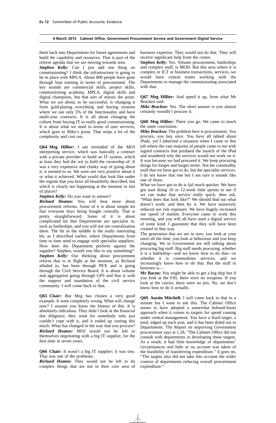them back into Departments for future agreements and build the capability and resources. That is part of the reform agenda that we are moving towards now.

*Stephen Kelly:* Can I just add one thing on commissioning? I think the infrastructure is going to be in place with MPLA. About 800 people have gone through lean training in terms of procurement. The key strands are commercial skills, project skills, commissioning academy, MPLA, digital skills and digital champions, but that sort of misses the point. What we are about, to be successful, is changing it from gold-plating everything and having systems where we use only 5% of the functionality and have multi-year contracts. It is all about changing the culture from buying IT to really good commissioning. It is about what we need in terms of user services, which goes to Mike's point. That strips a lot of the complexity and cost out.

**Q64 Meg Hillier:** I am reminded of the MOJ interpreting service, which was basically a contract with a private provider to build an IT system, which at least they had the wit to hold the ownership of. It was a very expensive and clunky way of going about it, it seemed to us. We were not very positive about it or what it achieved. What would that look like under the regime that you have all beautifully described, but which is clearly not happening at the moment in lots of places?

*Stephen Kelly:* Do you want to answer?

*Richard Heaton:* You will hear more about procurement reforms. Some of it is about simple kit that everyone buys being bought centrally. That is pretty straightforward. Some of it is about complicated kit that Departments are specialist in, such as battleships, and you will not see centralisation there. The bit in the middle is the really interesting bit, as I described earlier, where Departments from time to time need to engage with specialist suppliers. How does the Department perform against the supplier? Stephen, would you like to say something? *Stephen Kelly:* Our thinking about procurement reform that is in flight at the moment, as Richard alluded to, has been through PEX and is going through the Civil Service Board. It is about volume and aggregation going through GPS and that is with the support and mandation of the civil service community. I will come back to that.

**Q65 Chair:** But Meg has chosen a very good example. It went completely wrong. What will change now? I assume you know the history of this. It is absolutely ridiculous. They didn't look at the financial due diligence; they went for somebody who just couldn't cope with it, and it ended up costing this much. What has changed in the way that you procure? *Richard Heaton:* MOJ would not be left to themselves negotiating with a big IT supplier, for the first time in seven years.

**Q66 Chair:** It wasn't a big IT supplier; it was tiny. That was one of the problems.

*Richard Heaton:* They would not be left to do complex things that are not in their core area of business expertise. They would not do that. They will receive significant help from the centre.

*Stephen Kelly:* Yes. Volume procurement, battleships and complex stuff, is MOD. But this area where it is complex or ICT or business transactions, services, we would have central teams working with the Departments to manage the commissioning associated with that.

**Q67 Meg Hillier:** And speed it up, from what Mr Bracken said.

*Mike Bracken:* Yes. The short answer is you almost certainly wouldn't procure it.

**Q68 Meg Hillier:** There you go. We came to much the same conclusion.

*Mike Bracken:* The problem here is procurement. You procure, you buy once. You have all talked about iPads, yet I inherited a situation when I came to this job where the vast majority of people came to me with signed contracts that predated the launch of the iPad and wondered why the services would not work on it. It was because we had procured it. We keep procuring things for longer and longer terms. Not the commodity stuff that we have got to do, but the specialist services. I do not know that one but I am sure it sounds like one of those.

What we have got to do is fail much quicker. We have got start doing 10 or 12-week little sprints to see if we can make that service really quick, then ask, "What does that look like?" We should find out what doesn't work, and then fix it. We have massively reduced our risk exposure. We have hugely increased our speed of market. Everyone came to work this morning, and you will all have used a digital service of some kind. I guarantee that they will have been created in that way.

The generation that we are in now, you look at your users all the time, you look at behaviour and you keep changing. We in Government are still talking about procuring big stuff. Big stuff needs procuring, whether it is a battleship—and we know how to do that—or whether it is commodities services, and we increasingly know how to do that. But the stuff in between is—

**Mr Bacon:** You might be able to get a big ship but if you look at the F45, there were no weapons. If you look at the carrier, there were no jets. No, we don't know how to do it actually.

**Q69 Austin Mitchell:** I will come back to that in a minute but I want to ask this. The Cabinet Office seems to have adopted a somewhat hobnail-boots approach when it comes to targets for spend coming under central management. You have a fixed target, a total, edged up each year, and it has been doled out to Departments. The Report on improving Government procurement says at 1.28, "The Cabinet Office did not consult with departments in developing these targets. As a result, it had little knowledge of departments' circumstances and little or no account was taken of the feasibility of transferring expenditure." It goes on, "The targets also did not take into account the wider context of departments reducing overall procurement expenditure."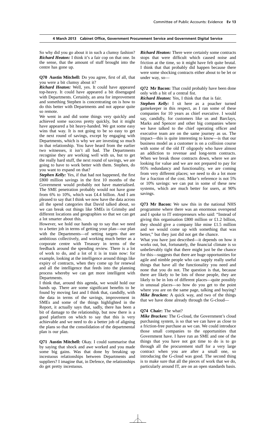So why did you go about it in such a clumsy fashion? *Richard Heaton:* I think it's a fair cop on that one. In the sense, that the amount of stuff brought into the centre has gone up.

**Q70 Austin Mitchell:** Do you agree, first of all, that you were a bit clumsy about it?

*Richard Heaton:* Well, yes. It could have appeared top-heavy. It could have appeared a bit disengaged with Departments. Certainly, an area for improvement and something Stephen is concentrating on is how to do this better with Departments and not appear quite so remote.

We went in and did some things very quickly and achieved some success pretty quickly, but it might have appeared a bit heavy-handed. We got some easy wins that way. It is not going to be so easy to get the next round of savings, except by engaging with Departments, which is why we are investing so much in that relationship. You have heard from the earlier two witnesses, it isn't all bad. The Departments recognise they are working well with us, but to get the really hard stuff, the next round of savings, we are going to have to work better with them. Stephen, do you want to expand on that?

*Stephen Kelly:* Yes, if that had not happened, the first £800 million savings in the first 10 months of the Government would probably not have materialised. The SME penetration probably would not have gone from 6% to 10%, which was £4.4 billion. And I am pleased to say that I think we now have the data across all the spend categories that David talked about, so we can break out things like SMEs in Grimsby and different locations and geographies so that we can get a lot smarter about this.

However, we hold our hands up to say that we need to a better job in terms of getting your plan—our plan with the Departments—of setting targets that are ambitious collectively, and working much better as a corporate centre with Treasury in terms of the feedback around the spending review. There is a lot of work to do, and a lot of it is in train now: for example, looking at the intelligence around things like expiry of contracts, when they come up for renewal and all the intelligence that feeds into the planning process whereby we can get more intelligent with Departments.

I think that, around this agenda, we would hold our hands up. There are some significant benefits to be found by moving fast and I think that, candidly, with the data in terms of the savings, improvement in SMEs and some of the things highlighted in the Report, it actually says that, sadly, there has been a bit of damage to the relationship, but now there is a good platform on which to say that this is very achievable and we need to do a better job of aligning the plans so that the consolidation of the departmental plan is our plan.

**Q71 Austin Mitchell:** Okay. I could summarise that by saying that shock and awe worked and you made some big gains. Was that done by breaking up incestuous relationships between Departments and suppliers? I imagine that, in Defence, the relationships do get pretty incestuous.

*Richard Heaton:* There were certainly some contracts stops that were difficult which caused noise and friction at the time, so it might have felt quite brutal. I think that that probably did happen because there were some shocking contracts either about to be let or under way, so—

**Q72 Mr Bacon:** That could probably have been done only with a bit of a central fist.

*Richard Heaton:* Yes, I think that that is fair.

*Stephen Kelly:* I sit here as a poacher turned gamekeeper in this respect, as I ran some of these companies for 10 years as chief executive. I would say, candidly, for customers like us and Barclays, Marks and Spencer and other big companies where we have talked to the chief operating officer and executive team are on the same journey as us. The impact—this is quite interesting to know—is that our business model as a customer is on a collision course with some of the old IT oligopoly who have almost an addiction to revenue and long-term contracts. When we break those contracts down, where we are looking for value and we are not prepared to pay for 95% redundancy and functionality, we are coming from very different places; we need to do a lot more for a fraction of the cost. Mike's reference is not 5% or 10% savings: we can put in some of these new systems, which are much better for users, at 90% savings.

**Q73 Mr Bacon:** We saw this in the national NHS programme where there was an enormous overspend and I spoke to IT entrepreneurs who said: "Instead of giving this organisation £800 million or £1.2 billion, they should give a company like mine £1.5 million and we would come up with something that was better," but they just did not get the chance.

What you have just described—it depends on how it works out, but, fortunately, the financial climate is so unbelievably tight that there might just be the chance for this—suggests that there are huge opportunities for agile and nimble people who can supply really useful things that have all the functionality you need and none that you do not. The question is that, because there are likely to be lots of those people, they are likely to be in lots of different places—quite possibly in unusual places—so how do you get to the point where you are on the same page, talking and buying? *Mike Bracken:* A quick way, and two of the things that we have done already through the G-cloud—

#### **Q74 Chair:** The what?

*Mike Bracken:* The G-cloud, the Government's cloud purchasing system, is so that we can have as close to a friction-free purchase as we can. We could introduce those small companies to the opportunities that Government have. I have run an SME and one of the things that you have not got time to do is to go through all the procurement stuff for a very large contract when you are after a small one, so introducing the G-cloud was good. The second thing is to make sure that all the pieces of work that we do, particularly around IT, are on an open standards basis.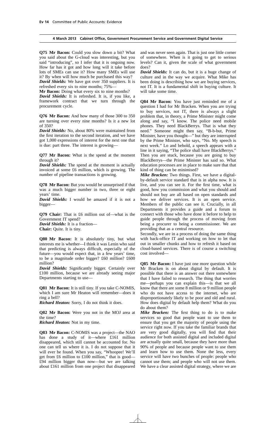**Q75 Mr Bacon:** Could you slow down a bit? What you said about the G-cloud was interesting, but you said "introducing", so I infer that it is ongoing now. How far has it got and how long will it take before lots of SMEs can use it? How many SMEs will use it? By when will how much be purchased this way?

*David Shields:* We have got over 350 suppliers. It is refreshed every six to nine months; 75%—

**Mr Bacon:** Doing what every six to nine months?

*David Shields:* It is refreshed. It is, if you like, a framework contract that we turn through the procurement cycle.

**Q76 Mr Bacon:** And how many of those 300 to 350 are turning over every nine months? Is it a new lot of 350?

*David Shields:* No, about 80% were maintained from the first iteration to the second iteration, and we have got 1,000 expressions of interest for the next one that is due: part three. The interest is growing—

**Q77 Mr Bacon:** What is the spend at the moment through it?

*David Shields:* The spend at the moment is actually invoiced at some £6 million, which is growing. The number of pipeline transactions is growing.

**Q78 Mr Bacon:** But you would be unsurprised if that was a much bigger number in two, three or eight years' time.

*David Shields:* I would be amazed if it is not a bigger—

**Q79 Chair:** That is £6 million out of—what is the Government IT spend?

*David Shields:* It is a fraction— **Chair:** Quite. It is tiny.

**Q80 Mr Bacon:** It is absolutely tiny, but what interests me is whether—I think it was Lenin who said that predicting is always difficult, especially of the future—you would expect that, in a few years' time, to be a magnitude order bigger? £60 million? £600 million?

*David Shields:* Significantly bigger. Certainly over £100 million, because we are already seeing major Departments starting to use—

**Q81 Mr Bacon:** It is still tiny. If you take C-NOMIS, which I am sure Mr Heaton will remember—does it ring a bell?

*Richard Heaton:* Sorry, I do not think it does.

**Q82 Mr Bacon:** Were you not in the MOJ area at the time?

*Richard Heaton:* Not in my time.

**Q83 Mr Bacon:** C-NOMIS was a project—the NAO has done a study of it—where £161 million disappeared, which still cannot be accounted for. No one can tell us where it is. I do not suppose that it will ever be found. When you say, "Whoopee! We'll get from £6 million to £100 million," that is good— £94 million bigger than now—but we are talking about £161 million from one project that disappeared and was never seen again. That is just one little corner of somewhere. When is it going to get to serious levels? Can it, given the scale of what government does?

*David Shields:* It can do, but it is a huge change of culture and in the way we acquire. What Mike has been doing is describing how we are buying services, not IT. It is a fundamental shift in buying culture. It will take some time.

**Q84 Mr Bacon:** You have just reminded me of a question I had for Mr Bracken. When you are trying to buy services, not IT, there is always a slight problem that, in theory, a Prime Minister might come along and say, "I know. The police need mobile phones. They need BlackBerrys. That is what they need." Someone might then say, "B-b-but, Prime Minister, have you thought—" but they are interrupted by the Prime Minister, who says, "No. My speech is next week." Lo and behold, a speech appears with a line in it saying, "The police shall have BlackBerrys." Then you are stuck, because you are going to buy BlackBerrys—the Prime Minister has said so. What education processes are in place to make sure that that kind of thing can be minimised?

*Mike Bracken:* Two things. First, we have a digitalby-default service standard that is in alpha now. It is live, and you can see it. For the first time, what is good, how you commission and what you should and should not buy are all based on open standards and how we deliver services. It is an open service. Members of the public can see it. Crucially, in all Departments it provides a guide and a forum to connect with those who have done it before to help to guide people through the process of moving from being a procurer to being a commissioner. We are providing that as a central resource.

Secondly, we are in a process of doing the same thing with back-office IT and working on how to let that out in smaller chunks and how to refresh it based on cloud-based services. There is of course a switching cost involved—

**Q85** Mr Bacon: I have just one more question while Mr Bracken is on about digital by default. It is possible that there is an answer out there somewhere that I have failed to research. The thing that worries me—perhaps you can explain this—is that we all know that there are some 8 million or 9 million people who do not have access to the internet, who are disproportionately likely to be poor and old and rural. How does digital by default help them? What do you do about them?

*Mike Bracken:* The first thing to do is to make services so good that people want to use them to ensure that you get the majority of people using the service right now. If you take the familiar brands that are very good digitally, you will find that their audience for both assisted digital and included digital are actually quite small, because they have more than 90% of people and because people want to use them and learn how to use them. None the less, every service will have two bunches of people: people who cannot use them; and people who will not use them. We have a clear assisted digital strategy, where we are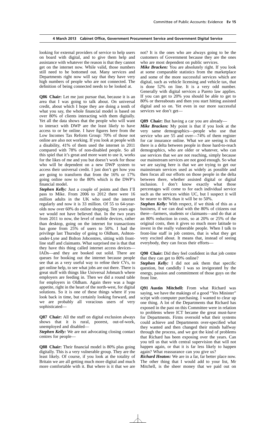looking for external providers of service to help users on board with digital, and to give them help and assistance with whatever the reason is that they cannot get on the internet now. While valid, those numbers still need to be bottomed out. Many services and Departments right now will say that they have very high numbers of people who are not connected. The definition of being connected needs to be looked at.

**Q86 Chair:** Let me just pursue that, because it is an area that I was going to talk about. On universal credit, about which I hope they are doing a tenth of what you say, the whole financial model is based on over 80% of clients interacting with them digitally. Yet all the data shows that the people who will want to interact with DWP are the least likely to have access to or be online. I have figures here from the Low Incomes Tax Reform Group: 70% of those not online are also not working. If you look at people with a disability, 41% of them used the internet in 2011 compared with 78% of non-disabled people. So all this spiel that it's great and more want to use it, works for the likes of me and you but doesn't work for those who will be dependent on a new DWP system to access their universal credit. I just don't get how you are going to transform that from the 16% or 17% going online now to the 80% which is the DWP's financial model.

*Stephen Kelly:* Just a couple of points and then I'll pass to Mike. From 2006 to 2012 there were 16 million adults in the UK who used the internet regularly and now it is 33 million. Of 55 to 64-yearolds now over 60% do online shopping. Ten years ago we would not have believed that. In the two years from 2011 to now, the level of mobile devices, rather than desktop, going on the internet for transactions has gone from 25% of users to 50%. I had the privilege last Thursday of going to Oldham, Ashtonunder-Lyne and Bolton Jobcentres, sitting with frontline staff and claimants. What surprised me is that that they have this thing called internet access devices— IADs—and they are booked out solid. There are queues for booking out the internet because people see that as a very useful way to refine their CVs, to get online help, to see what jobs are out there. There is great stuff with things like Universal Jobmatch where employers are feeding in. Then we did a round table for employers in Oldham. Again there was a huge appetite, right in the heart of the north-west, for digital solutions. So it is one of these things where if you look back in time, but certainly looking forward, and we are probably all voracious users of very sophisticated—

**Q87 Chair:** All the stuff on digital exclusion always shows that it is rural, poorest, out-of-work, unemployed and disabled—

**Stephen Kelly:** We are not advocating closing contact centres for people—

**Q88 Chair:** Their financial model is 80% plus going digitally. This is a very vulnerable group. They are the least likely. Of course, if you look at the totality of Britain we are all getting much more digital and much more comfortable with it. But where is it that we are not? It is the ones who are always going to be the customers of Government because they are the ones who are most dependent on public services.

*Mike Bracken:* You are absolutely right. If you look at some comparable statistics from the marketplace and some of the more successful services which are digital, such as vehicle licensing and vehicle tax, that is done 52% on line. It is a very odd number. Generally with digital services a Pareto law applies. If you can get to 20% you should be able to get to 80% or thereabouts and then you start hitting assisted digital and so on. Yet even in our more successful services we don't get—

**Q89 Chair:** But having a car you are already—

*Mike Bracken:* My point is that if you look at the very same demographics—people who use that service who are 55 and over—74% of them register for car insurance online. What we are seeing is that there is a delta between people in those hard-to-reach demographics, who are older or whatever, who can use services that we are not reaching, simply because our mainstream services are not good enough. So what we are saying here is that we are trying to get our mainstream services used as widely as possible and then focus all our efforts on those people in the delta between there, whether assisted digital or digital inclusion. I don't know exactly what those percentages will come to for each individual service such as the services within UC, but I suspect it will be nearer to 80% than it will be to 50%.

*Stephen Kelly:* With respect, if we think of this as a business, if we can deal with the 80% of citizens out there—farmers, students or claimants—and do that at an 80% reduction in costs, so at 20% or 25% of the original costs, then it gives so much more latitude to invest in the really vulnerable people. When I talk to front-line staff in job centres, that is what they get very excited about. It means that, instead of seeing everybody, they can focus their efforts—

**Q90 Chair:** Did they feel confident in that job centre that they can get to 80% online?

*Stephen Kelly:* I did not ask them that specific question, but candidly I was so invigorated by the energy, passion and commitment of those guys on the front line.

**Q91 Austin Mitchell:** From what Richard was saying, we have the makings of a good "Yes Minister" script with computer purchasing. I wanted to clear up one thing. A lot of the Departments that Richard has exposed in the past on this Committee were in relation to problems where ICT became the great must-have for Departments. Firms oversold what their systems could achieve and Departments over-specified what they wanted and then changed their minds halfway through the process, and we got the kind of problems that Richard has been exposing over the years. Can you tell us that with central supervision that will not happen again, or that it is far less likely to happen again? What reassurance can you give us?

*Richard Heaton:* We are in a far, far better place now. The other thing that I would add to your list, Mr Mitchell, is the sheer money that we paid out on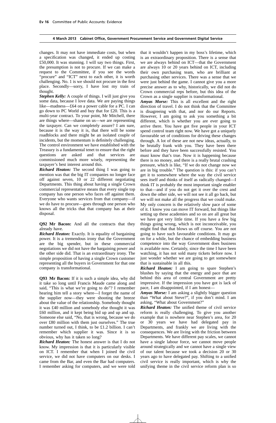changes. It may not have immediate costs, but when a specification was changed, it ended up costing £50,000. It was stunning. I will say two things. First, the presumption is not to procure. If we can make a request to the Committee, if you see the words "procure" and "ICT" next to each other, it is worth challenging. No. 1 is we should not procure in the first place. Secondly—sorry, I have lost my train of thought.

*Stephen Kelly:* A couple of things. I will just give you some data, because I love data. We are paying things like—madness—£64 on a power cable for a PC. I can go down to PC World and buy that for £20. This is a multi-year contract. To your point, Mr Mitchell, there are things where—shame on us—we are representing the taxpayer. Can we completely assure? I am sure, because it is the way it is, that there will be some roadblocks and there might be an isolated couple of incidents, but the momentum is definitely challenging. The control environment we have established with the Treasury is a fundamental tenet to ensure that the right questions are asked and that services are commissioned much more wisely, representing the taxpayer's best interest around this.

*Richard Heaton:* The second thing I was going to mention was that the big IT companies no longer face off against seven, 10 or 22 different negotiating Departments. This thing about having a single Crown commercial representative means that every single top company has one person who faces off against them. Everyone who wants services from that company—if we do have to procure—goes through one person who knows all the tricks that that company has at their disposal.

**Q92 Mr Bacon:** And all the contracts that they already have.

*Richard Heaton:* Exactly. It is equality of bargaining power. It is a tremendous irony that the Government are the big spender, but in these commercial negotiations we did not have the bargaining power and the other side did. That is an extraordinary irony. The simple proposition of having a single Crown customer representing all the buyers in Government for that one company is transformational.

**Q93 Mr Bacon:** If it is such a simple idea, why did it take so long until Francis Maude came along and said, "This is what we're going to do"? I remember hearing him tell a story where—I forget the name of the supplier now—they were shooting the breeze about the value of the relationship. Somebody thought it was £40 million and somebody else thought it was £60 million, and it kept being bid up and up and up. Someone else said, "No, that is wrong, because we do over £80 million with them just ourselves." The true number turned out, I think, to be £1.2 billion. I can't remember which supplier it was. Since it is so obvious, why has it taken so long?

*Richard Heaton:* The honest answer is that I do not know. My impression is that it is particularly visible on ICT. I remember that when I joined the civil service, we did not have computers on our desks. I came from the Bar, and even the Bar had computers. I remember asking for computers, and we were told that it wouldn't happen in my boss's lifetime, which is an extraordinary proposition. There is a sense that we are always behind on ICT—that the Government are always 10 or 20 years behind on ICT, including their own purchasing team, who are brilliant at purchasing other services. There was a sense that we were just behind the game. I cannot give you a more precise answer as to why, historically, we did not do Crown commercial reps before, but this idea of the Crown as a single supplier is transformational.

*Amyas Morse:* This is all excellent and the right direction of travel. I do not think that the Committee is disagreeing with that, and nor do our Reports. However, I am going to ask you something a bit different, which is whether you are ever going to arrive there. You have got five people in your ICT spend control team right now. We have got a uniquely favourable set of conditions for driving these changes through. A lot of these are not new ideas, actually, to be brutally frank with you. They have been there before and they have been successfully resisted. You must know that's true. Now it is happening because there is no money, and there is a really brutal crashing pressure, which is like, "If we do not change now we are in big trouble." The question is this: if you can't get it to somewhere where the way the civil service sees itself and thinks of itself as radically changed—I think IT is probably the most important single enabler to that—and if you do not get it over the crest and down the other side, we will not see it all go back, but we will not make all the progress that we could make. My only concern is the relatively slow pace of some of it. I know you can move IT forward, but things like setting up these academies and so on are all great but we have got very little time. If you have a few big things going wrong, which is not inconceivable, you might find that that blows us off course. You are not going to have such favourable conditions. It may go on for a while, but the chance of embedding business competence into the way Government does business is available now. Certainly, since the time I have been watching, it has not sold many tickets before now. I just wonder whether we are going to get somewhere that is sustainable in all this.

*Richard Heaton:* I am going to spare Stephen's blushes by saying that the energy and pace that are behind this area of central Government are pretty impressive. If the impression you have got is lack of pace, I am disappointed, if I am honest—

*Amyas Morse:* I am asking a slightly bigger question than "What about Steve?", if you don't mind. I am asking, "What about Government?"

*Richard Heaton:* The unified theme of civil service reform is really challenging. To give you another example that is nowhere near Stephen's area, for 20 or 30 years we have had delegated pay in Departments, and frankly we are living with the consequences. We are living with the friction between Departments. We have different pay scales, we cannot have a single labour force, we cannot move people around strategically and we cannot have a single view of our talent because we took a decision 20 or 30 years ago to have delegated pay. Shifting to a unified civil service is really important, which is why the unifying theme in the civil service reform plan is so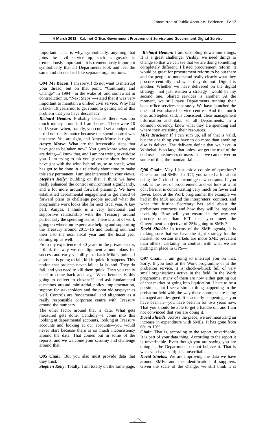important. That is why, symbolically, anything that joins the civil service up, such as gov.uk, is tremendously important—it is tremendously important symbolically that all Departments look and feel the same and do not feel like separate organisations.

**Q94 Mr Bacon:** I am sorry. I do not want to interrupt your thread, but on that point, "Continuity and Change" in 1994—in the wake of, and somewhat in contradiction to, "Next Steps"—stated that it was very important to maintain a unified civil service. Why has it taken 19 years not to get round to getting rid of this problem that you have described?

*Richard Heaton:* Probably because there was too much money around, if I am honest. There were 10 or 15 years when, frankly, you could set a budget and it did not really matter because the spend control was not there. You are right, and Amyas Morse is right.

*Amyas Morse:* What are the irrevocable steps that have got to be taken now? You guys know what you are doing—I know that, and I am not trying to criticise you. I am trying to ask you, given the short time we have got with the wind behind us, so to speak, what has got to be done in a relatively short time to make this stay permanent. I am just interested in your views. *Stephen Kelly:* Building on that, I think we have really enhanced the control environment significantly, and a lot more around forward planning. We have established departmental engagement to get ahead of forward plans to challenge people around what the programme work looks like for next fiscal year. A key part, Amyas, I think is a very functional and supportive relationship with the Treasury around particularly the spending teams. There is a lot of work going on where our experts are helping and supporting the Treasury around 2015–16 and looking out, and then also the next fiscal year and the fiscal year coming up as well.

From my experience of 30 years in the private sector, I think the way we do alignment around plans for success and early visibility—to back Mike's point, if a project is going to fail, kill it quick. It happens. This notion that projects never fail is la-la land. They do fail, and you need to kill them quick. Then you really need to come back and say, "What benefits is this going to deliver to citizens?" and ask fundamental questions around ministerial policy implementation, support for stakeholders and the poor old taxpayer as well. Controls are fundamental, and alignment as a really responsible corporate centre with Treasury around the numbers.

The other factor around that is data. What gets measured gets done. Candidly—I come into this looking at departmental accounts, looking at Treasury accounts and looking at our accounts—you would never start because there is so much inconsistency around the data. That comes out in some of the reports, and we welcome your scrutiny and challenge around that.

**Q95 Chair:** But you also must provide data that they trust.

*Stephen Kelly:* Totally. I am totally on the same page.

*Richard Heaton***:** I am scribbling down four things. It is a great challenge. Visibly, we need things to change so that we can see that we are doing something completely different. I listed procurement reform. It would be great for procurement reform to be out there and for people to understand really clearly what they procure centrally and what they do not. Digital is another. Whether we have delivered on the digital strategy—not just written a strategy—would be my second one. Shared services is another. At the moment, we still have Departments running their back-office services separately. We have launched the one and two shared service centres. And the fourth one, as Stephen said, is consistent, clear management information and data, so all Departments, in a common currency, know what they are spending and where they are using their resources.

*Mike Bracken:* If I can sum up, all of that is valid, but the one thing you have to do more than anything else is deliver. The delivery deficit that we have in Whitehall is so large that unless we get the trust of the end user—businesses or users—that we can deliver on some of this, the mandate falls.

**Q96 Chair:** May I just ask a couple of questions? One is around SMEs. In ICT, you talked a lot about using the G-cloud to encourage new entrants. If you look at the rest of procurement, and we look at a lot of it here, it is concentrating very much on fewer and fewer. Look at the Work programme, the example we had in the MOJ around the interpreters' contract, and what the Justice Secretary has said about the probations contracts and how they will be regional level big. How will you ensure in the way we procure—other than ICT—that you meet the Government's objective of 25% going to SMEs?

*David Shields:* In terms of the SME agenda, it is making sure that we have the right strategy for the market, so certain markets are more SME prevalent than others. Certainly, in contrast with what we are putting in place in GPS—

**Q97 Chair:** I am going to interrupt you on that. Sorry. If you look at the Work programme or at the probation service, it is chock-a-block full of very small organisations active in the field. In the Work programme, many of them are now either getting out of that market or going into liquidation. I hate to be a pessimist, but I see a similar thing happening in the probation field with the way those contracts are being managed and designed. It is actually happening as you have been in—you have been in for two years now. That you should be able to get a handle on, and I am not convinced that you are doing it.

*David Shields:* Across the piece, we are measuring an increase in expenditure with SMEs. It has gone from 6% to 10%.

**Chair:** That is, according to the report, unverifiable. It is part of your data thing. According to the report it is unverifiable. Even though you are saying you are doing it, the Departments do not believe it. That is what you have said; it is unverifiable.

*David Shields:* We are improving the data we have around SMEs and the identification of suppliers. Given the scale of the change, we still think it is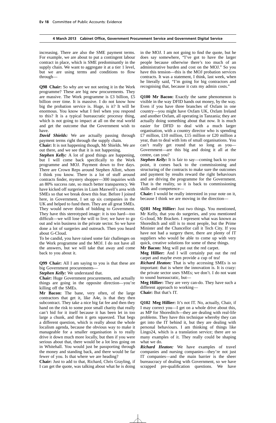increasing. There are also the SME payment terms. For example, we are about to put a contingent labour contract in place, which is SME predominantly in the supply chain. We want to aggregate it at a tier 1 level, but we are using terms and conditions to flow through—

**Q98 Chair:** So why are we not seeing it in the Work programme? These are big new procurements. They are massive. The Work programme is £3 billion, £5 billion over time. It is massive. I do not know how big the probation service is. Huge, is it? It will be enormous. You know what I feel when you respond to this? It is a typical bureaucratic processy thing, which is not going to impact at all on the real world and get the outcome that the Government wish to have.

*David Shields:* We are actually passing through payment terms right through the supply chain.

**Chair:** It is not happening though, Mr Shields. We are out there, and we see that it is not happening.

*Stephen Kelly:* A lot of good things are happening, but I will come back specifically to the Work programme and MOJ. Payment down to five days. There are Crown Reps around Stephen Allott, whom I think you know. There is a lot of stuff around contracts finder, mystery shopper—300 inquiries with an 80% success rate, so much better transparency. We have kicked off surgeries in Liam Maxwell's area with SMEs so that we break down this fear. Before I joined here, in Government, I set up six companies in the UK and helped to fund them. They are all great SMEs. They would never think of bidding to Government. They have this stereotyped image: it is too hard—too difficult—we will lose the will to live; we have to go out and win business in the private sector. So we have done a lot of surgeries and outreach. Then you heard about G-Cloud.

To be candid, you have raised some fair challenges on the Work programme and the MOJ. I do not have all the answers, but we will take that away and come back to you about it.

**Q99 Chair:** All I am saying to you is that these are big Government procurements—

*Stephen Kelly:* We understand that.

**Chair:** Huge Government procurements, and actually things are going in the opposite direction—you're killing off the SMEs.

**Mr Bacon:** The bane, very often, of the large contractors that get it, like A4e, is that they then subcontract. They take a nice big fat fee and then they hand on the risk to some poor small charity that really can't bid for it itself because it has been let in too large a chunk, and then it gets squeezed. That begs a different question, which is really about the whole localism agenda, because the obvious way to make it manageable for a smaller organisation is to really drive it down much more locally, but then if you were serious about that, there would be a lot less going on in Whitehall. You would just be passporting through the money and standing back, and there would be far fewer of you. Is that where we are heading?

**Chair:** Just to add to that, Richard, Chris Grayling, if I can get the quote, was talking about what he is doing

in the MOJ. I am not going to find the quote, but he does say somewhere, "I've got to have the larger people because otherwise there's too much of an administrative burden and cost on the MOJ." So you have this tension—this is the MOJ probation services contracts. It was a statement, I think, last week, when he literally said, "I'm going for big contractors and recognising that, because it cuts my admin costs."

**Q100 Mr Bacon:** Exactly the same phenomenon is visible in the way DFID hands out money, by the way. Even if you have three branches of Oxfam in one country—you might have Oxfam UK, Oxfam Ireland and another Oxfam, all operating in Tanzania; they are actually doing something about that now. It is much easier for DFID to deal with a much larger organisation, with a country director who is spending £7 million, £10 million, £15 million or £20 million a year, than to deal with lots of small organisations. You can't really get round that so long as you— Government—are this big and doing it all at the centre, can you?

*Stephen Kelly:* It is fair to say—coming back to your point, it comes back to the commissioning and structuring of the contracts to make sure the outcomes and payment by results reward the right behaviours and are driving the programme for the Government. That is the reality, so it is back to commissioning skills and competence—

**Chair:** I would be really interested in your note on it, because I think we are moving in the direction—

**Q101 Meg Hillier:** Just two things. You mentioned, Mr Kelly, that you do surgeries, and you mentioned G-cloud, Mr Bracken. I represent what was known as Shoreditch and still is to most people, but the Prime Minister and the Chancellor call it Tech City. If you have not had a surgery there, there are plenty of IT suppliers who would be able to come up with very quick, creative solutions for some of these things.

**Mr Bacon:** Meg will put out the red carpet.

**Meg Hillier:** And I will certainly put out the red carpet and maybe even provide a cup of tea!

*Richard Heaton:* That is why accessing SMEs is so important: that is where the innovation is. It is crazy: the private sector uses SMEs; we don't. I do not want to sound bureaucratic, but—

**Meg Hillier:** They are very can-do. They have such a different approach to working—

**Chair:** But that's IT.

**Q102 Meg Hillier:** It's not IT. No, actually, Chair, if I may correct you—I get on a whole drive about this, as MP for Shoreditch—they are dealing with real-life problems. They have this technique whereby they can get into the IT behind it, but they are dealing with personal behaviours. I am thinking of things like Lingo24, which is a translation service; there are so many examples of it. They really could be shaping what we do.

*Richard Heaton:* We have examples of travel companies and nursing companies—they're not just IT companies—and the main barrier is the sheer bureaucracy of dealing with Government, so we have scrapped pre-qualification questions. We have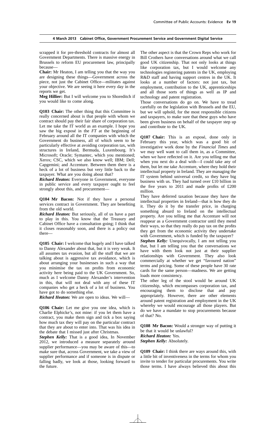scrapped it for pre-threshold contracts for almost all Government Departments. There is massive energy in Brussels to reform EU procurement law, principally because—

**Chair:** Mr Heaton, I am telling you that the way you are designing these things—Government across the piece, not just the Cabinet Office—militates against your objective. We are seeing it here every day in the reports we get.

**Meg Hillier:** But I will welcome you to Shoreditch if you would like to come along.

**Q103 Chair:** The other thing that this Committee is really concerned about is that people with whom we contract should pay their fair share of corporation tax. Let me take the IT world as an example. I hope you saw the big exposé in the *FT* at the beginning of February around all the IT companies with which the Government do business, all of which seem to be particularly effective at avoiding corporation tax, with structures in Ireland, Bermuda, Luxembourg. It's Microsoft; Oracle; Symantec, which you mentioned; Xerox; CSC, which we also know well; IBM; Dell; Capgemini; and Accenture. Between them there is a heck of a lot of business but very little back to the taxpayer. What are you doing about that?

*Richard Heaton:* Everyone in Government, everyone in public service and every taxpayer ought to feel strongly about this, and procurement—

**Q104 Mr Bacon:** Not if they have a personal services contract in Government. They are benefiting from the old world.

*Richard Heaton:* But seriously, all of us have a part to play in this. You know that the Treasury and Cabinet Office have a consultation going; I think that it closes reasonably soon, and there is a policy out there—

**Q105 Chair:** I welcome that hugely and I have talked to Danny Alexander about that, but it is very weak. It all assumes tax evasion, but all the stuff that we are talking about is aggressive tax avoidance, which is about arranging your businesses in such a way that you minimise the tax on profits from economic activity here being paid to the UK Government. So, much as I welcome Danny Alexander's intervention in this, that will not deal with any of these IT companies who get a heck of a lot of business. You have got to do something else.

*Richard Heaton:* We are open to ideas. We will—

**Q106 Chair:** Let me give you one idea, which is Charlie Elphicke's, not mine: if you let them have a contract, you make them sign and tick a box saying how much tax they will pay on the particular contract that they are about to enter into. That was his idea in the debate that I missed just after Christmas.

*Stephen Kelly:* That is a good idea, In November 2012, we introduced a measure separately around supplier performance—you may be aware of this—to make sure that, across Government, we take a view of supplier performance and if someone is in dispute or falling badly, we look at those, looking forward to the future.

The other aspect is that the Crown Reps who work for Bill Crothers have conversations around what we call good UK citizenship. That not only looks at things like corporation tax, but I would welcome any technologies registering patents in the UK, employing R&D staff and having support centres in the UK. It looks at a number of factors: not just tax, but employment, contribution to the UK, apprenticeships and all those sorts of things as well as IP and technology and patent registration.

Those conversations do go on. We have to tread carefully on the legislation with Brussels and the EU, but we will uphold, for the most responsible citizens and taxpayers, to make sure that these guys who have been given business on behalf of the taxpayer step up and contribute to the UK.

**Q107 Chair:** This is an exposé, done only in February this year, which was a good bit of investigative work done by the *Financial Times* and we may well want to call them in, as a Committee, when we have reflected on it. Are you telling me that when you next do a deal with—I could take any of them, but let me take Accenture, where they hold their intellectual property in Ireland. They are managing the IT system behind universal credit, so they have big business with us. They had turned over £10 billion in the five years to 2011 and made profits of £200 million.

They have deferred taxation because they have the intellectual properties in Ireland—that is how they do it. They do it by the transfer price, in charging something absurd to Ireland on the intellectual property. Are you telling me that Accenture will not reappear as a Government contractor until they mend their ways, so that they really do pay tax on the profits they get from the economic activity they undertake with Government, which is funded by the taxpayer?

*Stephen Kelly:* Unequivocally, I am not telling you that, but I am telling you that the conversations we have with them look not just at their supplier relationships with Government. They also look commercially at whether we get "favoured nation" terms and pricing. Some of these people have 30 rate cards for the same person—madness. We are getting loads more consistency.

The other leg of the stool would be around UK citizenship, which encompasses corporation tax, and encouraging them to disclose that and pay appropriately. However, there are other elements around patent registration and employment in the UK whereby we would encourage all those players. But do we have a mandate to stop procurements because of that? No.

**Q108 Mr Bacon:** Would a stronger way of putting it be that it would be unlawful? *Richard Heaton:* Yes.

*Stephen Kelly:* Absolutely.

**Q109 Chair:** I think there are ways around this, with a little bit of inventiveness in the terms for whom you invite to tender for particular procurements. You write those terms. I have always believed this about this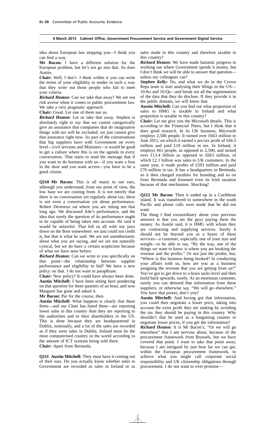idea about European law stopping you—I think you can find a way.

**Mr Bacon:** I have a different solution for the European problem, but let's not go into that. So does Austin.

**Chair:** Well, I don't. I think within it you can write the terms of your eligibility to tender in such a way that they write out those people who fail to meet your criteria.

*Richard Heaton:* Can we take that away? We are not risk averse when it comes to public procurement law. We take a very pragmatic approach.

**Chair:** Good. Let one of them sue us.

*Richard Heaton:* Let us take that away. Stephen is absolutely right to say that we cannot categorically give an assurance that companies that do imaginative things with tax will be excluded; we just cannot give that assurance right now. As part of the conversations that big suppliers have with Government on every level—civil servants and Ministers—it would be good to get a culture where this is on the agenda in every conversation. That starts to send the message that if you want to do business with us—if you want a foot in the door and you want access—you have to be a good citizen.

**Q110 Mr Bacon:** This is all music to our ears, although you understand, from our point of view, the low base we are coming from. It is not merely that there is no conversation yet regularly about tax; there is not even a conversation yet about performance. Robert Devereux sat where you are sitting not that long ago. We discussed A4e's performance, and the idea that surely the question of its performance ought to be capable of being taken into account. He said it would be unlawful. That left us all with our jaws down on the floor somewhere: we just could not credit it, but that is what he said. We are not unenthusiastic about what you are saying, and we are not naturally cynical, but we do have a certain scepticism because of what we have seen before.

*Richard Heaton:* Can we write to you specifically on that point—the relationship between supplier performance and eligibility to bid? We have a new policy on that. I do not want to paraphrase.

**Chair:** New policy? It could have always been done. **Austin Mitchell:** I have been sitting here pondering on that question for three quarters of an hour, and now Margaret has gone and asked it.

**Mr Bacon:** Par for the course, then.

**Austin Mitchell:** What happens is clearly that these firms—and our Chair has listed them—are reporting lower sales in this country than they are reporting to the authorities and to their shareholders in the US. This is done because they are headquartered in Dublin, nominally, and a lot of the sales are recorded as if they were sales in Dublin. Ireland must be the most computerised country in the world according to the amount of ICT systems being sold there. **Chair:** Apart from Bermuda.

**Q111 Austin Mitchell:** They must have it coming out of their ears. Do you actually know whether sales to Government are recorded as sales in Ireland or as

sales made in this country and therefore taxable in this country?

*Richard Heaton:* We have made fantastic progress in working out where Government spends it money, but I don't think we will be able to answer that question unless my colleagues can?

*Stephen Kelly:* No, and what we do in the Crown Reps team is start analysing their filings in the US— 10-Ks and 10-Qs—and break out all the segmentation of the data that they do disclose. If they provide it in the public domain, we will know that.

**Austin Mitchell:** Can you find out what proportion of sales to HMG is taxable in Ireland and what proportion is taxable in this country?

**Chair:** Let me give you the Microsoft details. This is according to the *Financial Times*, but I think that it does good research. In its UK business, Microsoft employs 2,500 people. It turned over £663 million to June 2011, on which it earned a pre-tax profit of £66.5 million and paid £19 million in tax. In Ireland, it employs 661 people, as opposed to 2,500, and turned over £13.4 billion as opposed to £663 million, of which £2.1 billion was sales to UK customers. In the same year, it made profits of £593 million and paid £76 million in tax. It has a headquarters in Bermuda, so it then charged royalties for branding and so on from Bermuda and lessened even its Irish taxation because of that mechanism. Shocking!

**Q112 Mr Bacon:** Then it ended up in a Caribbean island. It was transferred to somewhere in the south Pacific and phone calls were made that he did not want.

The thing I find extraordinary about your previous answers is that you are the guys paying them the money. As Austin said, it is HMG with whom they are contracting and supplying services. Surely it should not be beyond you as a buyer of these services—a customer, especially one of your size and weight—to be able to say, "By the way, one of the things we want to know is where you are booking the revenue and the profits." Or not just the profits, but, "Where is this business being booked? In conducting your affairs with us, how are you as a business assigning the revenue that you are getting from us?" You've got to get down to a brass tacks level and then build back upwards, surely. As an enormous customer, surely you can demand that information from these suppliers, or otherwise say, "We will go elsewhere." You have that power, don't you?

**Austin Mitchell:** And having got that information, you could then negotiate a lower price, taking into account the extra profit they are making by avoiding the tax they should be paying in this country. Why shouldn't that be used as a bargaining counter to negotiate lower prices, if you get the information?

*Richard Heaton:* It is Mr Bacon's, "Or we will go elsewhere" that I am nervous about, because of the procurement framework from Brussels, but we have covered that point. I want to take that point away, because I am intrigued by just how far we can get, within the European procurement framework, to achieve what you might call corporate social responsibility and UK citizenship obligations through procurement. I do not want to over-promise—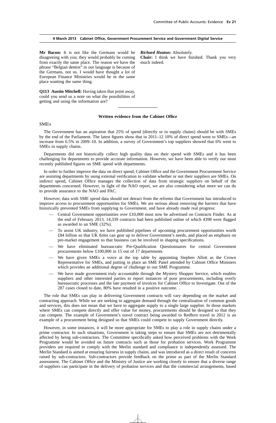**Chair:** I think we have finished. Thank you very

#### **4 March 2013 Cabinet Office, Government Procurement Service and Government Digital Service**

**Mr Bacon:** It is not like the Germans would be disagreeing with you; they would probably be coming from exactly the same place. The reason we have the phrase "Belgian dentist" in our language is because of the Germans, not us. I would have thought a lot of European Finance Ministries would be in the same place wanting the same thing.

**Q113 Austin Mitchell:** Having taken that point away, could you send us a note on what the possibilities of getting and using the information are?

### much indeed.

*Richard Heaton:* Absolutely.

#### **Written evidence from the Cabinet Office**

#### SMEs

The Government has an aspiration that 25% of spend (directly or in supply chains) should be with SMEs by the end of the Parliament. The latest figures show that in 2011–12 10% of direct spend went to SMEs—an increase from 6.5% in 2009–10. In addition, a survey of Government's top suppliers showed that 6% went to SMEs in supply chains.

Departments did not historically collect high quality data on their spend with SMEs and it has been challenging for departments to provide accurate information. However, we have been able to verify our most recently published figures on SME spend with departments.

In order to further improve the data on direct spend, Cabinet Office and the Government Procurement Service are assisting departments by using external verification to validate whether or not their suppliers are SMEs. On indirect spend, Cabinet Office manages the collection of data from strategic suppliers on behalf of the departments concerned. However, in light of the NAO report, we are also considering what more we can do to provide assurance to the NAO and PAC.

However, data with SME spend data should not detract from the reforms that Government has introduced to improve access to procurement opportunities for SMEs. We are serious about removing the barriers that have historically prevented SMEs from supplying to Government, and have already made real progress:

- $\sim$  Central Government opportunities over £10,000 must now be advertised on Contracts Finder. As at the end of February 2013, 14,339 contracts had been published online of which 4398 were flagged as awarded to an SME (32%).
- To assist UK industry, we have published pipelines of upcoming procurement opportunities worth £84 billion so that UK firms can gear up to deliver Government's needs, and placed an emphasis on pre-market engagement so that business can be involved in shaping specifications.
- We have eliminated bureaucratic Pre-Qualification Questionnaires for central Government procurements below £100,000 in 15 out of 17 departments
- We have given SMEs a voice at the top table by appointing Stephen Allott as the Crown Representative for SMEs, and putting in place an SME Panel attended by Cabinet Office Ministers which provides an additional degree of challenge to our SME Programme.
- We have made government truly accountable through the Mystery Shopper Service, which enables suppliers and other interested parties to report instances of poor procurements, including overly bureaucratic processes and the late payment of invoices for Cabinet Office to Investigate. Out of the 287 cases closed to date, 80% have resulted in a positive outcome. .

The role that SMEs can play in delivering Government contracts will vary depending on the market and contracting approach. While we are seeking to aggregate demand through the centralization of common goods and services, this does not mean that we have to aggregate supply to a single large supplier. In those markets where SMEs can compete directly and offer value for money, procurements should be designed so that they can compete. The example of Government's travel contract being awarded to Redfern travel in 2012 is an example of a procurement being designed so that SMEs could compete to supply Government directly.

However, in some instances, it will be more appropriate for SMEs to play a role in supply chains under a prime contractor. In such situations, Government is taking steps to ensure that SMEs are not detrimentally affected by being sub-contractors. The Committee specifically asked how perceived problems with the Work Programme would be avoided on future contracts such as those for probation services. Work Programme providers are required to comply with the Merlin standard and compliance is independently assessed. The Merlin Standard is aimed at ensuring fairness in supply chains, and was introduced as a direct result of concerns raised by sub-contractors. Sub-contractors provide feedback on the prime as part of the Merlin Standard assessment. The Cabinet Office and the Ministry of Justice are working closely to ensure that a diverse range of suppliers can participate in the delivery of probation services and that the commercial arrangements, based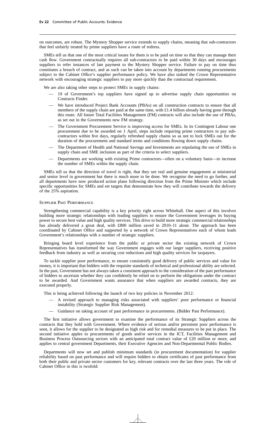on outcomes, are robust. The Mystery Shopper service extends to supply chains, meaning that sub-contractors that feel unfairly treated by prime suppliers have a route of redress.

SMEs tell us that one of the most critical issues for them is to be paid on time so that they can manage their cash flow. Government contractually requires all sub-contractors to be paid within 30 days and encourages suppliers to refer instances of late payment to the Mystery Shopper service. Failure to pay on time thus constitutes a breach of contract, and as such can be taken into account by departments running procurements subject to the Cabinet Office's supplier performance policy. We have also tasked the Crown Representative network with encouraging strategic suppliers to pay more quickly than the contractual requirement.

We are also taking other steps to protect SMEs in supply chains:

- 19 of Government's top suppliers have signed up to advertise supply chain opportunities on Contracts Finder.
- We have introduced Project Bank Accounts (PBAs) on all construction contracts to ensure that all members of the supply chain are paid at the same time, with  $\pounds$ 1.4 billion already having gone through this route. All future Total Facilities Management (FM) contracts will also include the use of PBAs, as set out in the Governments new FM strategy.
- The Government Procurement Service is improving access for SMEs. In its Contingent Labour one procurement due to be awarded on 1 April, steps include requiring prime contractors to pay subcontractors within five days, regularly refreshed supply chains so as not to lock SMEs out for the duration of the procurement and standard terms and conditions flowing down supply chains.
- The Department of Health and National Savings and Investments are stipulating the use of SMEs in supply chain and SME inclusion as part of the criteria to select suppliers.
- Departments are working with existing Prime contractors—often on a voluntary basis—to increase the number of SMEs within the supply chain.

SMEs tell us that the direction of travel is right, that they see real and genuine engagement at ministerial and senior level in government but there is much more to be done. We recognise the need to go further, and all departments have now produced action plans following direction from the Prime Minister which include specific opportunities for SMEs and set targets that demonstrate how they will contribute towards the delivery of the 25% aspiration.

#### Supplier Past Performance

Strengthening commercial capability is a key priority right across Whitehall. One aspect of this involves building more strategic relationships with leading suppliers to ensure the Government leverages its buying power to secure best value and high quality services. This drive to build more strategic commercial relationships has already delivered a great deal, with £800 million saved in 2010–11 alone. The approach has been coordinated by Cabinet Office and supported by a network of Crown Representatives each of whom leads Government's relationships with a number of strategic suppliers.

Bringing board level experience from the public or private sector the existing network of Crown Representatives has transformed the way Government engages with our larger suppliers, receiving positive feedback from industry as well as securing cost reductions and high quality services for taxpayers.

To tackle supplier poor performance, to ensure consistently good delivery of public services and value for money, it is important that bidders with the requisite standards of technical and professional ability are selected. In the past, Government has not always taken a consistent approach to the consideration of the past performance of bidders to ascertain whether they can confidently be relied on to perform the obligations under the contract to be awarded. And Government wants assurance that when suppliers are awarded contracts, they are executed properly.

This is being achieved following the launch of two key policies in November 2012:

- A revised approach to managing risks associated with suppliers' poor performance or financial instability (Strategic Supplier Risk Management).
- Guidance on taking account of past performance in procurements. (Bidder Past Performance).

The first initiative allows government to examine the performance of its Strategic Suppliers across the contracts that they hold with Government. Where evidence of serious and/or persistent poor performance is seen, it allows for the supplier to be designated as high risk and for remedial measures to be put in place. The second initiative apples to procurements of goods and/or services in the ICT, Facilities Management and Business Process Outsourcing sectors with an anticipated total contract value of £20 million or more, and applies to central government Departments, their Executive Agencies and Non-Departmental Public Bodies.

Departments will now set and publish minimum standards (in procurement documentation) for supplier reliability based on past performance and will require bidders to obtain certificates of past performance from both their public and private sector customers for key, relevant contracts over the last three years. The role of Cabinet Office in this is twofold: